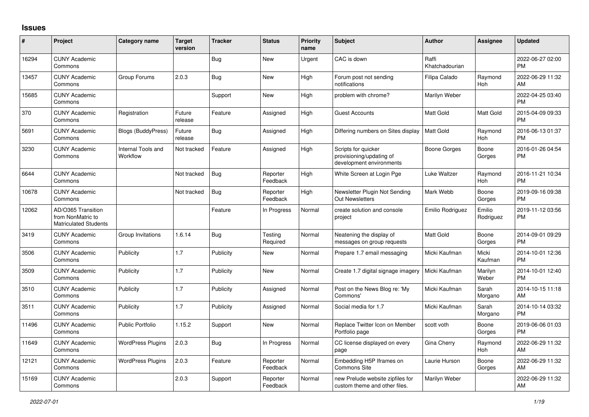## **Issues**

| #     | Project                                                                 | Category name                  | <b>Target</b><br>version | <b>Tracker</b> | <b>Status</b>        | <b>Priority</b><br>name | <b>Subject</b>                                                              | <b>Author</b>           | <b>Assignee</b>     | <b>Updated</b>                |
|-------|-------------------------------------------------------------------------|--------------------------------|--------------------------|----------------|----------------------|-------------------------|-----------------------------------------------------------------------------|-------------------------|---------------------|-------------------------------|
| 16294 | <b>CUNY Academic</b><br>Commons                                         |                                |                          | Bug            | <b>New</b>           | Urgent                  | CAC is down                                                                 | Raffi<br>Khatchadourian |                     | 2022-06-27 02:00<br><b>PM</b> |
| 13457 | <b>CUNY Academic</b><br>Commons                                         | Group Forums                   | 2.0.3                    | Bug            | <b>New</b>           | High                    | Forum post not sending<br>notifications                                     | Filipa Calado           | Raymond<br>Hoh      | 2022-06-29 11:32<br>AM        |
| 15685 | <b>CUNY Academic</b><br>Commons                                         |                                |                          | Support        | <b>New</b>           | High                    | problem with chrome?                                                        | Marilyn Weber           |                     | 2022-04-25 03:40<br><b>PM</b> |
| 370   | <b>CUNY Academic</b><br>Commons                                         | Registration                   | Future<br>release        | Feature        | Assigned             | High                    | <b>Guest Accounts</b>                                                       | <b>Matt Gold</b>        | Matt Gold           | 2015-04-09 09:33<br><b>PM</b> |
| 5691  | <b>CUNY Academic</b><br>Commons                                         | <b>Blogs (BuddyPress)</b>      | Future<br>release        | Bug            | Assigned             | High                    | Differing numbers on Sites display                                          | <b>Matt Gold</b>        | Raymond<br>Hoh      | 2016-06-13 01:37<br><b>PM</b> |
| 3230  | <b>CUNY Academic</b><br>Commons                                         | Internal Tools and<br>Workflow | Not tracked              | Feature        | Assigned             | High                    | Scripts for quicker<br>provisioning/updating of<br>development environments | Boone Gorges            | Boone<br>Gorges     | 2016-01-26 04:54<br><b>PM</b> |
| 6644  | <b>CUNY Academic</b><br>Commons                                         |                                | Not tracked              | Bug            | Reporter<br>Feedback | High                    | White Screen at Login Pge                                                   | Luke Waltzer            | Raymond<br>Hoh      | 2016-11-21 10:34<br><b>PM</b> |
| 10678 | <b>CUNY Academic</b><br>Commons                                         |                                | Not tracked              | <b>Bug</b>     | Reporter<br>Feedback | High                    | Newsletter Plugin Not Sending<br><b>Out Newsletters</b>                     | Mark Webb               | Boone<br>Gorges     | 2019-09-16 09:38<br><b>PM</b> |
| 12062 | AD/O365 Transition<br>from NonMatric to<br><b>Matriculated Students</b> |                                |                          | Feature        | In Progress          | Normal                  | create solution and console<br>project                                      | Emilio Rodriguez        | Emilio<br>Rodriguez | 2019-11-12 03:56<br><b>PM</b> |
| 3419  | <b>CUNY Academic</b><br>Commons                                         | Group Invitations              | 1.6.14                   | Bug            | Testing<br>Required  | Normal                  | Neatening the display of<br>messages on group requests                      | <b>Matt Gold</b>        | Boone<br>Gorges     | 2014-09-01 09:29<br><b>PM</b> |
| 3506  | <b>CUNY Academic</b><br>Commons                                         | Publicity                      | 1.7                      | Publicity      | <b>New</b>           | Normal                  | Prepare 1.7 email messaging                                                 | Micki Kaufman           | Micki<br>Kaufman    | 2014-10-01 12:36<br><b>PM</b> |
| 3509  | <b>CUNY Academic</b><br>Commons                                         | Publicity                      | 1.7                      | Publicity      | <b>New</b>           | Normal                  | Create 1.7 digital signage imagery                                          | Micki Kaufman           | Marilyn<br>Weber    | 2014-10-01 12:40<br><b>PM</b> |
| 3510  | <b>CUNY Academic</b><br>Commons                                         | Publicity                      | 1.7                      | Publicity      | Assigned             | Normal                  | Post on the News Blog re: 'My<br>Commons'                                   | Micki Kaufman           | Sarah<br>Morgano    | 2014-10-15 11:18<br>AM        |
| 3511  | <b>CUNY Academic</b><br>Commons                                         | Publicity                      | 1.7                      | Publicity      | Assigned             | Normal                  | Social media for 1.7                                                        | Micki Kaufman           | Sarah<br>Morgano    | 2014-10-14 03:32<br><b>PM</b> |
| 11496 | <b>CUNY Academic</b><br>Commons                                         | <b>Public Portfolio</b>        | 1.15.2                   | Support        | <b>New</b>           | Normal                  | Replace Twitter Icon on Member<br>Portfolio page                            | scott voth              | Boone<br>Gorges     | 2019-06-06 01:03<br><b>PM</b> |
| 11649 | <b>CUNY Academic</b><br>Commons                                         | <b>WordPress Plugins</b>       | 2.0.3                    | <b>Bug</b>     | In Progress          | Normal                  | CC license displayed on every<br>page                                       | Gina Cherry             | Raymond<br>Hoh      | 2022-06-29 11:32<br>AM        |
| 12121 | <b>CUNY Academic</b><br>Commons                                         | <b>WordPress Plugins</b>       | 2.0.3                    | Feature        | Reporter<br>Feedback | Normal                  | Embedding H5P Iframes on<br><b>Commons Site</b>                             | Laurie Hurson           | Boone<br>Gorges     | 2022-06-29 11:32<br>AM        |
| 15169 | <b>CUNY Academic</b><br>Commons                                         |                                | 2.0.3                    | Support        | Reporter<br>Feedback | Normal                  | new Prelude website zipfiles for<br>custom theme and other files.           | Marilyn Weber           |                     | 2022-06-29 11:32<br>AM        |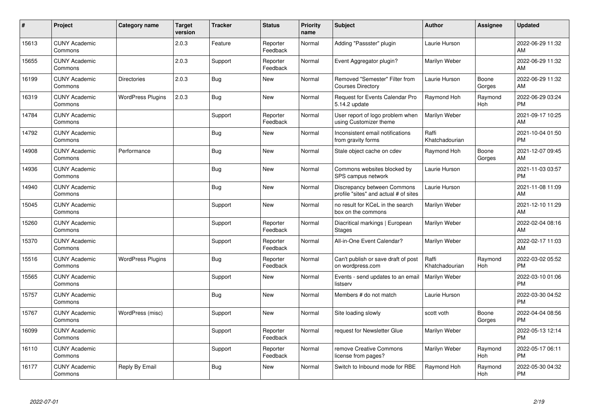| $\#$  | Project                         | <b>Category name</b>     | <b>Target</b><br>version | <b>Tracker</b> | <b>Status</b>        | <b>Priority</b><br>name | <b>Subject</b>                                                       | <b>Author</b>           | <b>Assignee</b> | <b>Updated</b>                |
|-------|---------------------------------|--------------------------|--------------------------|----------------|----------------------|-------------------------|----------------------------------------------------------------------|-------------------------|-----------------|-------------------------------|
| 15613 | <b>CUNY Academic</b><br>Commons |                          | 2.0.3                    | Feature        | Reporter<br>Feedback | Normal                  | Adding "Passster" plugin                                             | Laurie Hurson           |                 | 2022-06-29 11:32<br>AM        |
| 15655 | <b>CUNY Academic</b><br>Commons |                          | 2.0.3                    | Support        | Reporter<br>Feedback | Normal                  | Event Aggregator plugin?                                             | Marilyn Weber           |                 | 2022-06-29 11:32<br>AM        |
| 16199 | <b>CUNY Academic</b><br>Commons | <b>Directories</b>       | 2.0.3                    | <b>Bug</b>     | <b>New</b>           | Normal                  | Removed "Semester" Filter from<br><b>Courses Directory</b>           | Laurie Hurson           | Boone<br>Gorges | 2022-06-29 11:32<br>AM        |
| 16319 | <b>CUNY Academic</b><br>Commons | <b>WordPress Plugins</b> | 2.0.3                    | Bug            | <b>New</b>           | Normal                  | Request for Events Calendar Pro<br>5.14.2 update                     | Raymond Hoh             | Raymond<br>Hoh  | 2022-06-29 03:24<br><b>PM</b> |
| 14784 | <b>CUNY Academic</b><br>Commons |                          |                          | Support        | Reporter<br>Feedback | Normal                  | User report of logo problem when<br>using Customizer theme           | Marilyn Weber           |                 | 2021-09-17 10:25<br>AM        |
| 14792 | <b>CUNY Academic</b><br>Commons |                          |                          | <b>Bug</b>     | <b>New</b>           | Normal                  | Inconsistent email notifications<br>from gravity forms               | Raffi<br>Khatchadourian |                 | 2021-10-04 01:50<br><b>PM</b> |
| 14908 | <b>CUNY Academic</b><br>Commons | Performance              |                          | Bug            | New                  | Normal                  | Stale object cache on cdev                                           | Raymond Hoh             | Boone<br>Gorges | 2021-12-07 09:45<br>AM        |
| 14936 | <b>CUNY Academic</b><br>Commons |                          |                          | Bug            | New                  | Normal                  | Commons websites blocked by<br>SPS campus network                    | Laurie Hurson           |                 | 2021-11-03 03:57<br><b>PM</b> |
| 14940 | <b>CUNY Academic</b><br>Commons |                          |                          | <b>Bug</b>     | New                  | Normal                  | Discrepancy between Commons<br>profile "sites" and actual # of sites | Laurie Hurson           |                 | 2021-11-08 11:09<br>AM        |
| 15045 | <b>CUNY Academic</b><br>Commons |                          |                          | Support        | New                  | Normal                  | no result for KCeL in the search<br>box on the commons               | Marilyn Weber           |                 | 2021-12-10 11:29<br>AM        |
| 15260 | <b>CUNY Academic</b><br>Commons |                          |                          | Support        | Reporter<br>Feedback | Normal                  | Diacritical markings   European<br><b>Stages</b>                     | Marilyn Weber           |                 | 2022-02-04 08:16<br>AM        |
| 15370 | <b>CUNY Academic</b><br>Commons |                          |                          | Support        | Reporter<br>Feedback | Normal                  | All-in-One Event Calendar?                                           | Marilyn Weber           |                 | 2022-02-17 11:03<br>AM        |
| 15516 | <b>CUNY Academic</b><br>Commons | <b>WordPress Plugins</b> |                          | Bug            | Reporter<br>Feedback | Normal                  | Can't publish or save draft of post<br>on wordpress.com              | Raffi<br>Khatchadourian | Raymond<br>Hoh  | 2022-03-02 05:52<br><b>PM</b> |
| 15565 | <b>CUNY Academic</b><br>Commons |                          |                          | Support        | New                  | Normal                  | Events - send updates to an email<br>listserv                        | Marilyn Weber           |                 | 2022-03-10 01:06<br><b>PM</b> |
| 15757 | <b>CUNY Academic</b><br>Commons |                          |                          | <b>Bug</b>     | <b>New</b>           | Normal                  | Members # do not match                                               | Laurie Hurson           |                 | 2022-03-30 04:52<br><b>PM</b> |
| 15767 | <b>CUNY Academic</b><br>Commons | WordPress (misc)         |                          | Support        | New                  | Normal                  | Site loading slowly                                                  | scott voth              | Boone<br>Gorges | 2022-04-04 08:56<br><b>PM</b> |
| 16099 | <b>CUNY Academic</b><br>Commons |                          |                          | Support        | Reporter<br>Feedback | Normal                  | request for Newsletter Glue                                          | Marilyn Weber           |                 | 2022-05-13 12:14<br><b>PM</b> |
| 16110 | <b>CUNY Academic</b><br>Commons |                          |                          | Support        | Reporter<br>Feedback | Normal                  | remove Creative Commons<br>license from pages?                       | Marilyn Weber           | Raymond<br>Hoh  | 2022-05-17 06:11<br><b>PM</b> |
| 16177 | <b>CUNY Academic</b><br>Commons | Reply By Email           |                          | Bug            | <b>New</b>           | Normal                  | Switch to Inbound mode for RBE                                       | Raymond Hoh             | Raymond<br>Hoh  | 2022-05-30 04:32<br>PM        |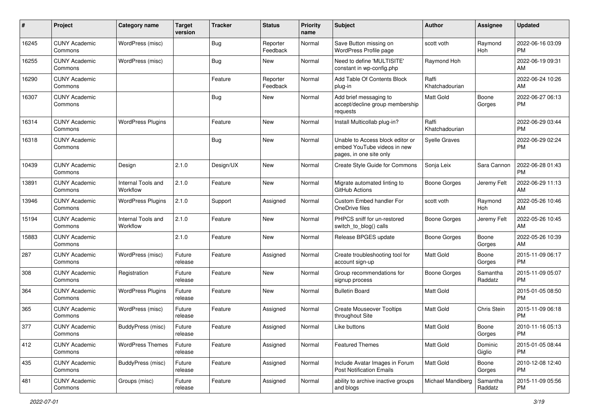| #     | Project                         | Category name                  | <b>Target</b><br>version | Tracker    | <b>Status</b>        | <b>Priority</b><br>name | Subject                                                                                    | Author                  | <b>Assignee</b>     | <b>Updated</b>                |
|-------|---------------------------------|--------------------------------|--------------------------|------------|----------------------|-------------------------|--------------------------------------------------------------------------------------------|-------------------------|---------------------|-------------------------------|
| 16245 | <b>CUNY Academic</b><br>Commons | WordPress (misc)               |                          | <b>Bug</b> | Reporter<br>Feedback | Normal                  | Save Button missing on<br>WordPress Profile page                                           | scott voth              | Raymond<br>Hoh      | 2022-06-16 03:09<br><b>PM</b> |
| 16255 | <b>CUNY Academic</b><br>Commons | WordPress (misc)               |                          | <b>Bug</b> | New                  | Normal                  | Need to define 'MULTISITE'<br>constant in wp-config.php                                    | Raymond Hoh             |                     | 2022-06-19 09:31<br>AM        |
| 16290 | <b>CUNY Academic</b><br>Commons |                                |                          | Feature    | Reporter<br>Feedback | Normal                  | Add Table Of Contents Block<br>plug-in                                                     | Raffi<br>Khatchadourian |                     | 2022-06-24 10:26<br>AM        |
| 16307 | <b>CUNY Academic</b><br>Commons |                                |                          | <b>Bug</b> | <b>New</b>           | Normal                  | Add brief messaging to<br>accept/decline group membership<br>requests                      | Matt Gold               | Boone<br>Gorges     | 2022-06-27 06:13<br>PM        |
| 16314 | <b>CUNY Academic</b><br>Commons | <b>WordPress Plugins</b>       |                          | Feature    | <b>New</b>           | Normal                  | Install Multicollab plug-in?                                                               | Raffi<br>Khatchadourian |                     | 2022-06-29 03:44<br><b>PM</b> |
| 16318 | <b>CUNY Academic</b><br>Commons |                                |                          | Bug        | <b>New</b>           | Normal                  | Unable to Access block editor or<br>embed YouTube videos in new<br>pages, in one site only | <b>Syelle Graves</b>    |                     | 2022-06-29 02:24<br><b>PM</b> |
| 10439 | <b>CUNY Academic</b><br>Commons | Design                         | 2.1.0                    | Design/UX  | <b>New</b>           | Normal                  | Create Style Guide for Commons                                                             | Sonja Leix              | Sara Cannon         | 2022-06-28 01:43<br><b>PM</b> |
| 13891 | <b>CUNY Academic</b><br>Commons | Internal Tools and<br>Workflow | 2.1.0                    | Feature    | <b>New</b>           | Normal                  | Migrate automated linting to<br>GitHub Actions                                             | <b>Boone Gorges</b>     | Jeremy Felt         | 2022-06-29 11:13<br>AM        |
| 13946 | <b>CUNY Academic</b><br>Commons | <b>WordPress Plugins</b>       | 2.1.0                    | Support    | Assigned             | Normal                  | Custom Embed handler For<br>OneDrive files                                                 | scott voth              | Raymond<br>Hoh      | 2022-05-26 10:46<br>AM        |
| 15194 | <b>CUNY Academic</b><br>Commons | Internal Tools and<br>Workflow | 2.1.0                    | Feature    | <b>New</b>           | Normal                  | PHPCS sniff for un-restored<br>switch_to_blog() calls                                      | <b>Boone Gorges</b>     | Jeremy Felt         | 2022-05-26 10:45<br>AM        |
| 15883 | <b>CUNY Academic</b><br>Commons |                                | 2.1.0                    | Feature    | <b>New</b>           | Normal                  | Release BPGES update                                                                       | <b>Boone Gorges</b>     | Boone<br>Gorges     | 2022-05-26 10:39<br>AM        |
| 287   | <b>CUNY Academic</b><br>Commons | WordPress (misc)               | Future<br>release        | Feature    | Assigned             | Normal                  | Create troubleshooting tool for<br>account sign-up                                         | <b>Matt Gold</b>        | Boone<br>Gorges     | 2015-11-09 06:17<br><b>PM</b> |
| 308   | <b>CUNY Academic</b><br>Commons | Registration                   | Future<br>release        | Feature    | <b>New</b>           | Normal                  | Group recommendations for<br>signup process                                                | <b>Boone Gorges</b>     | Samantha<br>Raddatz | 2015-11-09 05:07<br><b>PM</b> |
| 364   | <b>CUNY Academic</b><br>Commons | <b>WordPress Plugins</b>       | Future<br>release        | Feature    | <b>New</b>           | Normal                  | <b>Bulletin Board</b>                                                                      | Matt Gold               |                     | 2015-01-05 08:50<br><b>PM</b> |
| 365   | <b>CUNY Academic</b><br>Commons | WordPress (misc)               | Future<br>release        | Feature    | Assigned             | Normal                  | <b>Create Mouseover Tooltips</b><br>throughout Site                                        | Matt Gold               | Chris Stein         | 2015-11-09 06:18<br><b>PM</b> |
| 377   | <b>CUNY Academic</b><br>Commons | <b>BuddyPress (misc)</b>       | Future<br>release        | Feature    | Assigned             | Normal                  | Like buttons                                                                               | Matt Gold               | Boone<br>Gorges     | 2010-11-16 05:13<br>PM        |
| 412   | <b>CUNY Academic</b><br>Commons | <b>WordPress Themes</b>        | Future<br>release        | Feature    | Assigned             | Normal                  | <b>Featured Themes</b>                                                                     | Matt Gold               | Dominic<br>Giglio   | 2015-01-05 08:44<br><b>PM</b> |
| 435   | <b>CUNY Academic</b><br>Commons | BuddyPress (misc)              | Future<br>release        | Feature    | Assigned             | Normal                  | Include Avatar Images in Forum<br><b>Post Notification Emails</b>                          | Matt Gold               | Boone<br>Gorges     | 2010-12-08 12:40<br><b>PM</b> |
| 481   | <b>CUNY Academic</b><br>Commons | Groups (misc)                  | Future<br>release        | Feature    | Assigned             | Normal                  | ability to archive inactive groups<br>and blogs                                            | Michael Mandiberg       | Samantha<br>Raddatz | 2015-11-09 05:56<br><b>PM</b> |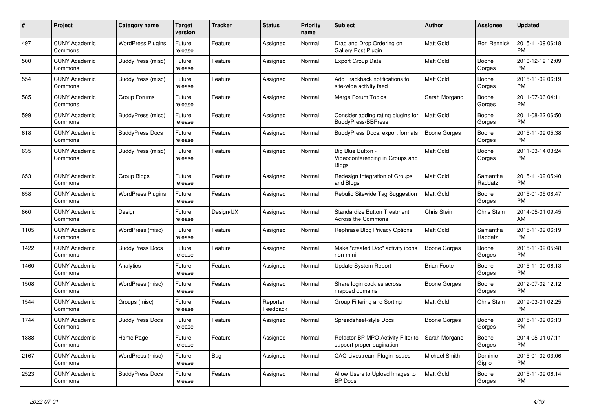| #    | Project                         | <b>Category name</b>     | <b>Target</b><br>version | <b>Tracker</b> | <b>Status</b>        | <b>Priority</b><br>name | <b>Subject</b>                                                       | <b>Author</b>      | Assignee            | <b>Updated</b>                |
|------|---------------------------------|--------------------------|--------------------------|----------------|----------------------|-------------------------|----------------------------------------------------------------------|--------------------|---------------------|-------------------------------|
| 497  | <b>CUNY Academic</b><br>Commons | <b>WordPress Plugins</b> | Future<br>release        | Feature        | Assigned             | Normal                  | Drag and Drop Ordering on<br>Gallery Post Plugin                     | <b>Matt Gold</b>   | Ron Rennick         | 2015-11-09 06:18<br><b>PM</b> |
| 500  | <b>CUNY Academic</b><br>Commons | BuddyPress (misc)        | Future<br>release        | Feature        | Assigned             | Normal                  | Export Group Data                                                    | <b>Matt Gold</b>   | Boone<br>Gorges     | 2010-12-19 12:09<br><b>PM</b> |
| 554  | <b>CUNY Academic</b><br>Commons | BuddyPress (misc)        | Future<br>release        | Feature        | Assigned             | Normal                  | Add Trackback notifications to<br>site-wide activity feed            | <b>Matt Gold</b>   | Boone<br>Gorges     | 2015-11-09 06:19<br><b>PM</b> |
| 585  | <b>CUNY Academic</b><br>Commons | Group Forums             | Future<br>release        | Feature        | Assigned             | Normal                  | Merge Forum Topics                                                   | Sarah Morgano      | Boone<br>Gorges     | 2011-07-06 04:11<br><b>PM</b> |
| 599  | <b>CUNY Academic</b><br>Commons | BuddyPress (misc)        | Future<br>release        | Feature        | Assigned             | Normal                  | Consider adding rating plugins for<br><b>BuddyPress/BBPress</b>      | <b>Matt Gold</b>   | Boone<br>Gorges     | 2011-08-22 06:50<br><b>PM</b> |
| 618  | <b>CUNY Academic</b><br>Commons | <b>BuddyPress Docs</b>   | Future<br>release        | Feature        | Assigned             | Normal                  | <b>BuddyPress Docs: export formats</b>                               | Boone Gorges       | Boone<br>Gorges     | 2015-11-09 05:38<br><b>PM</b> |
| 635  | <b>CUNY Academic</b><br>Commons | BuddyPress (misc)        | Future<br>release        | Feature        | Assigned             | Normal                  | Big Blue Button -<br>Videoconferencing in Groups and<br><b>Blogs</b> | <b>Matt Gold</b>   | Boone<br>Gorges     | 2011-03-14 03:24<br><b>PM</b> |
| 653  | <b>CUNY Academic</b><br>Commons | Group Blogs              | Future<br>release        | Feature        | Assigned             | Normal                  | Redesign Integration of Groups<br>and Blogs                          | Matt Gold          | Samantha<br>Raddatz | 2015-11-09 05:40<br><b>PM</b> |
| 658  | <b>CUNY Academic</b><br>Commons | <b>WordPress Plugins</b> | Future<br>release        | Feature        | Assigned             | Normal                  | Rebulid Sitewide Tag Suggestion                                      | Matt Gold          | Boone<br>Gorges     | 2015-01-05 08:47<br><b>PM</b> |
| 860  | <b>CUNY Academic</b><br>Commons | Design                   | Future<br>release        | Design/UX      | Assigned             | Normal                  | <b>Standardize Button Treatment</b><br><b>Across the Commons</b>     | Chris Stein        | Chris Stein         | 2014-05-01 09:45<br>AM        |
| 1105 | <b>CUNY Academic</b><br>Commons | WordPress (misc)         | Future<br>release        | Feature        | Assigned             | Normal                  | Rephrase Blog Privacy Options                                        | Matt Gold          | Samantha<br>Raddatz | 2015-11-09 06:19<br><b>PM</b> |
| 1422 | <b>CUNY Academic</b><br>Commons | <b>BuddyPress Docs</b>   | Future<br>release        | Feature        | Assigned             | Normal                  | Make "created Doc" activity icons<br>non-mini                        | Boone Gorges       | Boone<br>Gorges     | 2015-11-09 05:48<br><b>PM</b> |
| 1460 | <b>CUNY Academic</b><br>Commons | Analytics                | Future<br>release        | Feature        | Assigned             | Normal                  | Update System Report                                                 | <b>Brian Foote</b> | Boone<br>Gorges     | 2015-11-09 06:13<br><b>PM</b> |
| 1508 | <b>CUNY Academic</b><br>Commons | WordPress (misc)         | Future<br>release        | Feature        | Assigned             | Normal                  | Share login cookies across<br>mapped domains                         | Boone Gorges       | Boone<br>Gorges     | 2012-07-02 12:12<br><b>PM</b> |
| 1544 | <b>CUNY Academic</b><br>Commons | Groups (misc)            | Future<br>release        | Feature        | Reporter<br>Feedback | Normal                  | Group Filtering and Sorting                                          | Matt Gold          | Chris Stein         | 2019-03-01 02:25<br><b>PM</b> |
| 1744 | <b>CUNY Academic</b><br>Commons | <b>BuddyPress Docs</b>   | Future<br>release        | Feature        | Assigned             | Normal                  | Spreadsheet-style Docs                                               | Boone Gorges       | Boone<br>Gorges     | 2015-11-09 06:13<br><b>PM</b> |
| 1888 | <b>CUNY Academic</b><br>Commons | Home Page                | Future<br>release        | Feature        | Assigned             | Normal                  | Refactor BP MPO Activity Filter to<br>support proper pagination      | Sarah Morgano      | Boone<br>Gorges     | 2014-05-01 07:11<br><b>PM</b> |
| 2167 | <b>CUNY Academic</b><br>Commons | WordPress (misc)         | Future<br>release        | Bug            | Assigned             | Normal                  | <b>CAC-Livestream Plugin Issues</b>                                  | Michael Smith      | Dominic<br>Giglio   | 2015-01-02 03:06<br><b>PM</b> |
| 2523 | <b>CUNY Academic</b><br>Commons | <b>BuddyPress Docs</b>   | Future<br>release        | Feature        | Assigned             | Normal                  | Allow Users to Upload Images to<br><b>BP</b> Docs                    | Matt Gold          | Boone<br>Gorges     | 2015-11-09 06:14<br><b>PM</b> |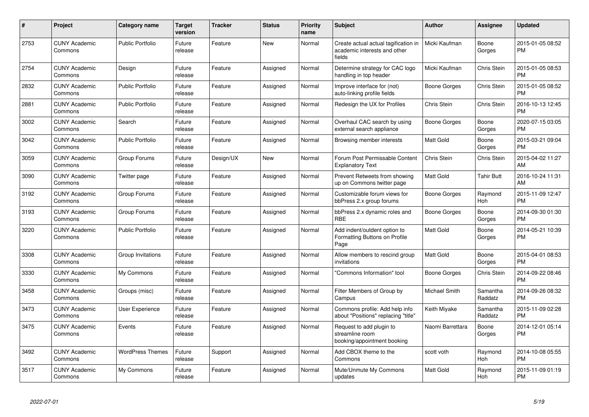| #    | Project                         | Category name           | <b>Target</b><br>version | <b>Tracker</b> | <b>Status</b> | <b>Priority</b><br>name | <b>Subject</b>                                                                 | Author           | <b>Assignee</b>     | <b>Updated</b>                |
|------|---------------------------------|-------------------------|--------------------------|----------------|---------------|-------------------------|--------------------------------------------------------------------------------|------------------|---------------------|-------------------------------|
| 2753 | <b>CUNY Academic</b><br>Commons | <b>Public Portfolio</b> | Future<br>release        | Feature        | <b>New</b>    | Normal                  | Create actual actual tagification in<br>academic interests and other<br>fields | Micki Kaufman    | Boone<br>Gorges     | 2015-01-05 08:52<br><b>PM</b> |
| 2754 | <b>CUNY Academic</b><br>Commons | Design                  | Future<br>release        | Feature        | Assigned      | Normal                  | Determine strategy for CAC logo<br>handling in top header                      | Micki Kaufman    | Chris Stein         | 2015-01-05 08:53<br><b>PM</b> |
| 2832 | <b>CUNY Academic</b><br>Commons | <b>Public Portfolio</b> | Future<br>release        | Feature        | Assigned      | Normal                  | Improve interface for (not)<br>auto-linking profile fields                     | Boone Gorges     | Chris Stein         | 2015-01-05 08:52<br><b>PM</b> |
| 2881 | <b>CUNY Academic</b><br>Commons | <b>Public Portfolio</b> | Future<br>release        | Feature        | Assigned      | Normal                  | Redesign the UX for Profiles                                                   | Chris Stein      | Chris Stein         | 2016-10-13 12:45<br><b>PM</b> |
| 3002 | <b>CUNY Academic</b><br>Commons | Search                  | Future<br>release        | Feature        | Assigned      | Normal                  | Overhaul CAC search by using<br>external search appliance                      | Boone Gorges     | Boone<br>Gorges     | 2020-07-15 03:05<br><b>PM</b> |
| 3042 | <b>CUNY Academic</b><br>Commons | <b>Public Portfolio</b> | Future<br>release        | Feature        | Assigned      | Normal                  | Browsing member interests                                                      | <b>Matt Gold</b> | Boone<br>Gorges     | 2015-03-21 09:04<br><b>PM</b> |
| 3059 | <b>CUNY Academic</b><br>Commons | Group Forums            | Future<br>release        | Design/UX      | <b>New</b>    | Normal                  | Forum Post Permissable Content<br><b>Explanatory Text</b>                      | Chris Stein      | Chris Stein         | 2015-04-02 11:27<br>AM        |
| 3090 | <b>CUNY Academic</b><br>Commons | Twitter page            | Future<br>release        | Feature        | Assigned      | Normal                  | Prevent Retweets from showing<br>up on Commons twitter page                    | Matt Gold        | Tahir Butt          | 2016-10-24 11:31<br>AM        |
| 3192 | <b>CUNY Academic</b><br>Commons | Group Forums            | Future<br>release        | Feature        | Assigned      | Normal                  | Customizable forum views for<br>bbPress 2.x group forums                       | Boone Gorges     | Raymond<br>Hoh      | 2015-11-09 12:47<br><b>PM</b> |
| 3193 | <b>CUNY Academic</b><br>Commons | Group Forums            | Future<br>release        | Feature        | Assigned      | Normal                  | bbPress 2.x dynamic roles and<br><b>RBE</b>                                    | Boone Gorges     | Boone<br>Gorges     | 2014-09-30 01:30<br><b>PM</b> |
| 3220 | <b>CUNY Academic</b><br>Commons | <b>Public Portfolio</b> | Future<br>release        | Feature        | Assigned      | Normal                  | Add indent/outdent option to<br>Formatting Buttons on Profile<br>Page          | <b>Matt Gold</b> | Boone<br>Gorges     | 2014-05-21 10:39<br><b>PM</b> |
| 3308 | <b>CUNY Academic</b><br>Commons | Group Invitations       | Future<br>release        | Feature        | Assigned      | Normal                  | Allow members to rescind group<br>invitations                                  | <b>Matt Gold</b> | Boone<br>Gorges     | 2015-04-01 08:53<br><b>PM</b> |
| 3330 | <b>CUNY Academic</b><br>Commons | My Commons              | Future<br>release        | Feature        | Assigned      | Normal                  | 'Commons Information" tool                                                     | Boone Gorges     | Chris Stein         | 2014-09-22 08:46<br><b>PM</b> |
| 3458 | <b>CUNY Academic</b><br>Commons | Groups (misc)           | Future<br>release        | Feature        | Assigned      | Normal                  | Filter Members of Group by<br>Campus                                           | Michael Smith    | Samantha<br>Raddatz | 2014-09-26 08:32<br><b>PM</b> |
| 3473 | <b>CUNY Academic</b><br>Commons | User Experience         | Future<br>release        | Feature        | Assigned      | Normal                  | Commons profile: Add help info<br>about "Positions" replacing "title"          | Keith Miyake     | Samantha<br>Raddatz | 2015-11-09 02:28<br><b>PM</b> |
| 3475 | <b>CUNY Academic</b><br>Commons | Events                  | Future<br>release        | Feature        | Assigned      | Normal                  | Request to add plugin to<br>streamline room<br>booking/appointment booking     | Naomi Barrettara | Boone<br>Gorges     | 2014-12-01 05:14<br><b>PM</b> |
| 3492 | <b>CUNY Academic</b><br>Commons | <b>WordPress Themes</b> | Future<br>release        | Support        | Assigned      | Normal                  | Add CBOX theme to the<br>Commons                                               | scott voth       | Raymond<br>Hoh      | 2014-10-08 05:55<br><b>PM</b> |
| 3517 | <b>CUNY Academic</b><br>Commons | My Commons              | Future<br>release        | Feature        | Assigned      | Normal                  | Mute/Unmute My Commons<br>updates                                              | <b>Matt Gold</b> | Raymond<br>Hoh      | 2015-11-09 01:19<br>PM        |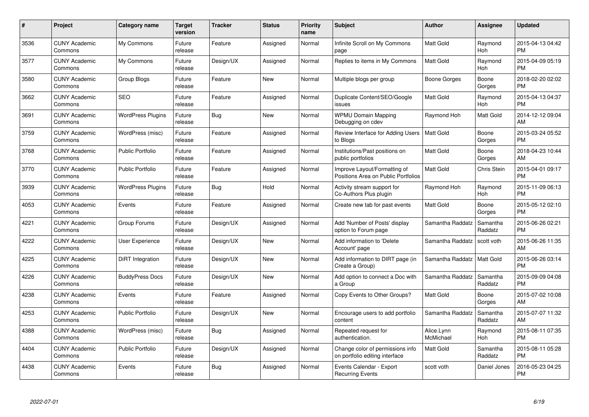| $\#$ | Project                         | <b>Category name</b>     | <b>Target</b><br>version | <b>Tracker</b> | <b>Status</b> | Priority<br>name | <b>Subject</b>                                                      | <b>Author</b>           | Assignee            | <b>Updated</b>                |
|------|---------------------------------|--------------------------|--------------------------|----------------|---------------|------------------|---------------------------------------------------------------------|-------------------------|---------------------|-------------------------------|
| 3536 | <b>CUNY Academic</b><br>Commons | My Commons               | Future<br>release        | Feature        | Assigned      | Normal           | Infinite Scroll on My Commons<br>page                               | <b>Matt Gold</b>        | Raymond<br>Hoh      | 2015-04-13 04:42<br><b>PM</b> |
| 3577 | <b>CUNY Academic</b><br>Commons | My Commons               | Future<br>release        | Design/UX      | Assigned      | Normal           | Replies to items in My Commons                                      | <b>Matt Gold</b>        | Raymond<br>Hoh      | 2015-04-09 05:19<br><b>PM</b> |
| 3580 | <b>CUNY Academic</b><br>Commons | Group Blogs              | Future<br>release        | Feature        | <b>New</b>    | Normal           | Multiple blogs per group                                            | Boone Gorges            | Boone<br>Gorges     | 2018-02-20 02:02<br><b>PM</b> |
| 3662 | <b>CUNY Academic</b><br>Commons | <b>SEO</b>               | Future<br>release        | Feature        | Assigned      | Normal           | Duplicate Content/SEO/Google<br>issues                              | Matt Gold               | Raymond<br>Hoh      | 2015-04-13 04:37<br><b>PM</b> |
| 3691 | <b>CUNY Academic</b><br>Commons | <b>WordPress Plugins</b> | Future<br>release        | Bug            | <b>New</b>    | Normal           | <b>WPMU Domain Mapping</b><br>Debugging on cdev                     | Raymond Hoh             | Matt Gold           | 2014-12-12 09:04<br>AM        |
| 3759 | <b>CUNY Academic</b><br>Commons | WordPress (misc)         | Future<br>release        | Feature        | Assigned      | Normal           | Review Interface for Adding Users<br>to Blogs                       | <b>Matt Gold</b>        | Boone<br>Gorges     | 2015-03-24 05:52<br><b>PM</b> |
| 3768 | <b>CUNY Academic</b><br>Commons | <b>Public Portfolio</b>  | Future<br>release        | Feature        | Assigned      | Normal           | Institutions/Past positions on<br>public portfolios                 | <b>Matt Gold</b>        | Boone<br>Gorges     | 2018-04-23 10:44<br>AM        |
| 3770 | <b>CUNY Academic</b><br>Commons | <b>Public Portfolio</b>  | Future<br>release        | Feature        | Assigned      | Normal           | Improve Layout/Formatting of<br>Positions Area on Public Portfolios | Matt Gold               | Chris Stein         | 2015-04-01 09:17<br><b>PM</b> |
| 3939 | <b>CUNY Academic</b><br>Commons | <b>WordPress Plugins</b> | Future<br>release        | <b>Bug</b>     | Hold          | Normal           | Activity stream support for<br>Co-Authors Plus plugin               | Raymond Hoh             | Raymond<br>Hoh      | 2015-11-09 06:13<br><b>PM</b> |
| 4053 | <b>CUNY Academic</b><br>Commons | Events                   | Future<br>release        | Feature        | Assigned      | Normal           | Create new tab for past events                                      | <b>Matt Gold</b>        | Boone<br>Gorges     | 2015-05-12 02:10<br><b>PM</b> |
| 4221 | <b>CUNY Academic</b><br>Commons | Group Forums             | Future<br>release        | Design/UX      | Assigned      | Normal           | Add 'Number of Posts' display<br>option to Forum page               | Samantha Raddatz        | Samantha<br>Raddatz | 2015-06-26 02:21<br><b>PM</b> |
| 4222 | <b>CUNY Academic</b><br>Commons | <b>User Experience</b>   | Future<br>release        | Design/UX      | New           | Normal           | Add information to 'Delete<br>Account' page                         | Samantha Raddatz        | scott voth          | 2015-06-26 11:35<br>AM        |
| 4225 | <b>CUNY Academic</b><br>Commons | DiRT Integration         | Future<br>release        | Design/UX      | New           | Normal           | Add information to DIRT page (in<br>Create a Group)                 | Samantha Raddatz        | <b>Matt Gold</b>    | 2015-06-26 03:14<br><b>PM</b> |
| 4226 | <b>CUNY Academic</b><br>Commons | <b>BuddyPress Docs</b>   | Future<br>release        | Design/UX      | New           | Normal           | Add option to connect a Doc with<br>a Group                         | Samantha Raddatz        | Samantha<br>Raddatz | 2015-09-09 04:08<br><b>PM</b> |
| 4238 | <b>CUNY Academic</b><br>Commons | Events                   | Future<br>release        | Feature        | Assigned      | Normal           | Copy Events to Other Groups?                                        | Matt Gold               | Boone<br>Gorges     | 2015-07-02 10:08<br>AM        |
| 4253 | <b>CUNY Academic</b><br>Commons | <b>Public Portfolio</b>  | Future<br>release        | Design/UX      | <b>New</b>    | Normal           | Encourage users to add portfolio<br>content                         | Samantha Raddatz        | Samantha<br>Raddatz | 2015-07-07 11:32<br>AM        |
| 4388 | <b>CUNY Academic</b><br>Commons | WordPress (misc)         | Future<br>release        | Bug            | Assigned      | Normal           | Repeated request for<br>authentication.                             | Alice.Lynn<br>McMichael | Raymond<br>Hoh      | 2015-08-11 07:35<br><b>PM</b> |
| 4404 | <b>CUNY Academic</b><br>Commons | Public Portfolio         | Future<br>release        | Design/UX      | Assigned      | Normal           | Change color of permissions info<br>on portfolio editing interface  | Matt Gold               | Samantha<br>Raddatz | 2015-08-11 05:28<br><b>PM</b> |
| 4438 | <b>CUNY Academic</b><br>Commons | Events                   | Future<br>release        | Bug            | Assigned      | Normal           | Events Calendar - Export<br><b>Recurring Events</b>                 | scott voth              | Daniel Jones        | 2016-05-23 04:25<br><b>PM</b> |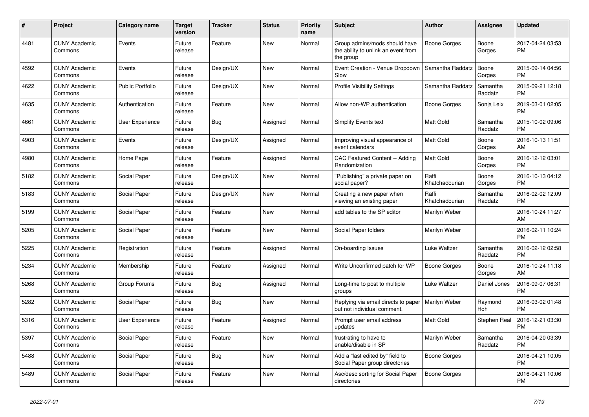| #    | <b>Project</b>                  | Category name           | <b>Target</b><br>version | <b>Tracker</b> | <b>Status</b> | <b>Priority</b><br>name | <b>Subject</b>                                                                    | <b>Author</b>           | Assignee            | <b>Updated</b>                |
|------|---------------------------------|-------------------------|--------------------------|----------------|---------------|-------------------------|-----------------------------------------------------------------------------------|-------------------------|---------------------|-------------------------------|
| 4481 | <b>CUNY Academic</b><br>Commons | Events                  | Future<br>release        | Feature        | New           | Normal                  | Group admins/mods should have<br>the ability to unlink an event from<br>the group | Boone Gorges            | Boone<br>Gorges     | 2017-04-24 03:53<br><b>PM</b> |
| 4592 | <b>CUNY Academic</b><br>Commons | Events                  | Future<br>release        | Design/UX      | New           | Normal                  | Event Creation - Venue Dropdown<br>Slow                                           | Samantha Raddatz        | Boone<br>Gorges     | 2015-09-14 04:56<br><b>PM</b> |
| 4622 | <b>CUNY Academic</b><br>Commons | <b>Public Portfolio</b> | Future<br>release        | Design/UX      | <b>New</b>    | Normal                  | <b>Profile Visibility Settings</b>                                                | Samantha Raddatz        | Samantha<br>Raddatz | 2015-09-21 12:18<br><b>PM</b> |
| 4635 | <b>CUNY Academic</b><br>Commons | Authentication          | Future<br>release        | Feature        | <b>New</b>    | Normal                  | Allow non-WP authentication                                                       | Boone Gorges            | Sonja Leix          | 2019-03-01 02:05<br><b>PM</b> |
| 4661 | <b>CUNY Academic</b><br>Commons | <b>User Experience</b>  | Future<br>release        | Bug            | Assigned      | Normal                  | <b>Simplify Events text</b>                                                       | <b>Matt Gold</b>        | Samantha<br>Raddatz | 2015-10-02 09:06<br><b>PM</b> |
| 4903 | <b>CUNY Academic</b><br>Commons | Events                  | Future<br>release        | Design/UX      | Assigned      | Normal                  | Improving visual appearance of<br>event calendars                                 | <b>Matt Gold</b>        | Boone<br>Gorges     | 2016-10-13 11:51<br>AM        |
| 4980 | <b>CUNY Academic</b><br>Commons | Home Page               | Future<br>release        | Feature        | Assigned      | Normal                  | <b>CAC Featured Content -- Adding</b><br>Randomization                            | <b>Matt Gold</b>        | Boone<br>Gorges     | 2016-12-12 03:01<br><b>PM</b> |
| 5182 | <b>CUNY Academic</b><br>Commons | Social Paper            | Future<br>release        | Design/UX      | New           | Normal                  | "Publishing" a private paper on<br>social paper?                                  | Raffi<br>Khatchadourian | Boone<br>Gorges     | 2016-10-13 04:12<br><b>PM</b> |
| 5183 | <b>CUNY Academic</b><br>Commons | Social Paper            | Future<br>release        | Design/UX      | <b>New</b>    | Normal                  | Creating a new paper when<br>viewing an existing paper                            | Raffi<br>Khatchadourian | Samantha<br>Raddatz | 2016-02-02 12:09<br><b>PM</b> |
| 5199 | <b>CUNY Academic</b><br>Commons | Social Paper            | Future<br>release        | Feature        | <b>New</b>    | Normal                  | add tables to the SP editor                                                       | Marilyn Weber           |                     | 2016-10-24 11:27<br>AM        |
| 5205 | <b>CUNY Academic</b><br>Commons | Social Paper            | Future<br>release        | Feature        | New           | Normal                  | Social Paper folders                                                              | Marilyn Weber           |                     | 2016-02-11 10:24<br><b>PM</b> |
| 5225 | <b>CUNY Academic</b><br>Commons | Registration            | Future<br>release        | Feature        | Assigned      | Normal                  | On-boarding Issues                                                                | Luke Waltzer            | Samantha<br>Raddatz | 2016-02-12 02:58<br><b>PM</b> |
| 5234 | <b>CUNY Academic</b><br>Commons | Membership              | Future<br>release        | Feature        | Assigned      | Normal                  | Write Unconfirmed patch for WP                                                    | Boone Gorges            | Boone<br>Gorges     | 2016-10-24 11:18<br>AM        |
| 5268 | <b>CUNY Academic</b><br>Commons | Group Forums            | Future<br>release        | Bug            | Assigned      | Normal                  | Long-time to post to multiple<br>groups                                           | Luke Waltzer            | Daniel Jones        | 2016-09-07 06:31<br><b>PM</b> |
| 5282 | <b>CUNY Academic</b><br>Commons | Social Paper            | Future<br>release        | Bug            | New           | Normal                  | Replying via email directs to paper<br>but not individual comment.                | Marilyn Weber           | Raymond<br>Hoh      | 2016-03-02 01:48<br><b>PM</b> |
| 5316 | <b>CUNY Academic</b><br>Commons | <b>User Experience</b>  | Future<br>release        | Feature        | Assigned      | Normal                  | Prompt user email address<br>updates                                              | <b>Matt Gold</b>        | Stephen Real        | 2016-12-21 03:30<br><b>PM</b> |
| 5397 | <b>CUNY Academic</b><br>Commons | Social Paper            | Future<br>release        | Feature        | <b>New</b>    | Normal                  | frustrating to have to<br>enable/disable in SP                                    | Marilyn Weber           | Samantha<br>Raddatz | 2016-04-20 03:39<br><b>PM</b> |
| 5488 | <b>CUNY Academic</b><br>Commons | Social Paper            | Future<br>release        | Bug            | New           | Normal                  | Add a "last edited by" field to<br>Social Paper group directories                 | Boone Gorges            |                     | 2016-04-21 10:05<br><b>PM</b> |
| 5489 | <b>CUNY Academic</b><br>Commons | Social Paper            | Future<br>release        | Feature        | <b>New</b>    | Normal                  | Asc/desc sorting for Social Paper<br>directories                                  | Boone Gorges            |                     | 2016-04-21 10:06<br><b>PM</b> |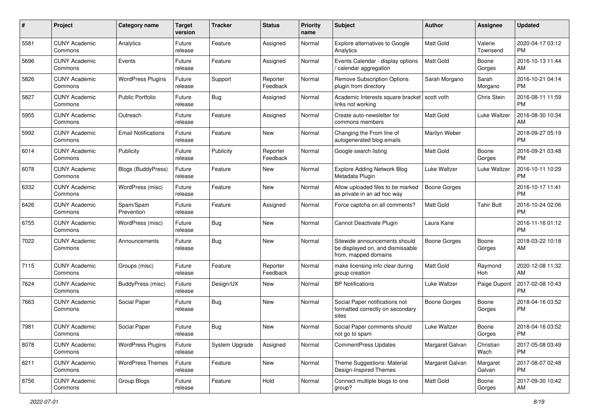| #    | Project                         | <b>Category name</b>       | <b>Target</b><br>version | <b>Tracker</b> | <b>Status</b>        | <b>Priority</b><br>name | <b>Subject</b>                                                                            | Author              | <b>Assignee</b>     | <b>Updated</b>                |
|------|---------------------------------|----------------------------|--------------------------|----------------|----------------------|-------------------------|-------------------------------------------------------------------------------------------|---------------------|---------------------|-------------------------------|
| 5581 | <b>CUNY Academic</b><br>Commons | Analytics                  | Future<br>release        | Feature        | Assigned             | Normal                  | Explore alternatives to Google<br>Analytics                                               | <b>Matt Gold</b>    | Valerie<br>Townsend | 2020-04-17 03:12<br>PM.       |
| 5696 | <b>CUNY Academic</b><br>Commons | Events                     | Future<br>release        | Feature        | Assigned             | Normal                  | Events Calendar - display options<br>/ calendar aggregation                               | <b>Matt Gold</b>    | Boone<br>Gorges     | 2016-10-13 11:44<br>AM.       |
| 5826 | <b>CUNY Academic</b><br>Commons | <b>WordPress Plugins</b>   | Future<br>release        | Support        | Reporter<br>Feedback | Normal                  | <b>Remove Subscription Options</b><br>plugin from directory                               | Sarah Morgano       | Sarah<br>Morgano    | 2016-10-21 04:14<br><b>PM</b> |
| 5827 | <b>CUNY Academic</b><br>Commons | <b>Public Portfolio</b>    | Future<br>release        | Bug            | Assigned             | Normal                  | Academic Interests square bracket<br>links not working                                    | scott voth          | Chris Stein         | 2016-08-11 11:59<br><b>PM</b> |
| 5955 | <b>CUNY Academic</b><br>Commons | Outreach                   | Future<br>release        | Feature        | Assigned             | Normal                  | Create auto-newsletter for<br>commons members                                             | <b>Matt Gold</b>    | Luke Waltzer        | 2016-08-30 10:34<br>AM        |
| 5992 | <b>CUNY Academic</b><br>Commons | <b>Email Notifications</b> | Future<br>release        | Feature        | New                  | Normal                  | Changing the From line of<br>autogenerated blog emails                                    | Marilyn Weber       |                     | 2018-09-27 05:19<br><b>PM</b> |
| 6014 | <b>CUNY Academic</b><br>Commons | Publicity                  | Future<br>release        | Publicity      | Reporter<br>Feedback | Normal                  | Google search listing                                                                     | Matt Gold           | Boone<br>Gorges     | 2016-09-21 03:48<br>PM.       |
| 6078 | <b>CUNY Academic</b><br>Commons | Blogs (BuddyPress)         | Future<br>release        | Feature        | New                  | Normal                  | <b>Explore Adding Network Blog</b><br>Metadata Plugin                                     | Luke Waltzer        | Luke Waltzer        | 2016-10-11 10:29<br>PM.       |
| 6332 | <b>CUNY Academic</b><br>Commons | WordPress (misc)           | Future<br>release        | Feature        | New                  | Normal                  | Allow uploaded files to be marked<br>as private in an ad hoc way                          | <b>Boone Gorges</b> |                     | 2016-10-17 11:41<br><b>PM</b> |
| 6426 | <b>CUNY Academic</b><br>Commons | Spam/Spam<br>Prevention    | Future<br>release        | Feature        | Assigned             | Normal                  | Force captcha on all comments?                                                            | Matt Gold           | Tahir Butt          | 2016-10-24 02:06<br><b>PM</b> |
| 6755 | <b>CUNY Academic</b><br>Commons | WordPress (misc)           | Future<br>release        | Bug            | New                  | Normal                  | Cannot Deactivate Plugin                                                                  | Laura Kane          |                     | 2016-11-16 01:12<br><b>PM</b> |
| 7022 | <b>CUNY Academic</b><br>Commons | Announcements              | Future<br>release        | Bug            | New                  | Normal                  | Sitewide announcements should<br>be displayed on, and dismissable<br>from, mapped domains | <b>Boone Gorges</b> | Boone<br>Gorges     | 2018-03-22 10:18<br>AM        |
| 7115 | <b>CUNY Academic</b><br>Commons | Groups (misc)              | Future<br>release        | Feature        | Reporter<br>Feedback | Normal                  | make licensing info clear during<br>group creation                                        | <b>Matt Gold</b>    | Raymond<br>Hoh      | 2020-12-08 11:32<br>AM        |
| 7624 | <b>CUNY Academic</b><br>Commons | <b>BuddyPress (misc)</b>   | Future<br>release        | Design/UX      | New                  | Normal                  | <b>BP Notifications</b>                                                                   | Luke Waltzer        | Paige Dupont        | 2017-02-08 10:43<br><b>PM</b> |
| 7663 | <b>CUNY Academic</b><br>Commons | Social Paper               | Future<br>release        | Bug            | New                  | Normal                  | Social Paper notifications not<br>formatted correctly on secondary<br>sites               | Boone Gorges        | Boone<br>Gorges     | 2018-04-16 03:52<br><b>PM</b> |
| 7981 | <b>CUNY Academic</b><br>Commons | Social Paper               | Future<br>release        | Bug            | New                  | Normal                  | Social Paper comments should<br>not go to spam                                            | Luke Waltzer        | Boone<br>Gorges     | 2018-04-16 03:52<br>PM        |
| 8078 | <b>CUNY Academic</b><br>Commons | <b>WordPress Plugins</b>   | Future<br>release        | System Upgrade | Assigned             | Normal                  | CommentPress Updates                                                                      | Margaret Galvan     | Christian<br>Wach   | 2017-05-08 03:49<br>PM        |
| 8211 | <b>CUNY Academic</b><br>Commons | <b>WordPress Themes</b>    | Future<br>release        | Feature        | New                  | Normal                  | Theme Suggestions: Material<br>Design-Inspired Themes                                     | Margaret Galvan     | Margaret<br>Galvan  | 2017-08-07 02:48<br><b>PM</b> |
| 8756 | <b>CUNY Academic</b><br>Commons | Group Blogs                | Future<br>release        | Feature        | Hold                 | Normal                  | Connect multiple blogs to one<br>group?                                                   | Matt Gold           | Boone<br>Gorges     | 2017-09-30 10:42<br>AM        |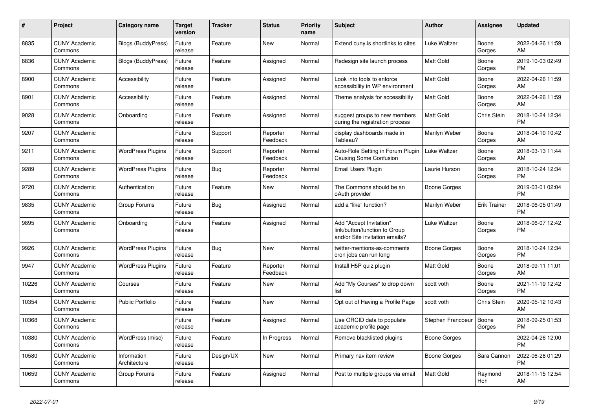| $\#$  | Project                         | <b>Category name</b>        | <b>Target</b><br>version | <b>Tracker</b> | <b>Status</b>        | Priority<br>name | <b>Subject</b>                                                                             | <b>Author</b>     | <b>Assignee</b>     | <b>Updated</b>                |
|-------|---------------------------------|-----------------------------|--------------------------|----------------|----------------------|------------------|--------------------------------------------------------------------------------------------|-------------------|---------------------|-------------------------------|
| 8835  | <b>CUNY Academic</b><br>Commons | <b>Blogs (BuddyPress)</b>   | Future<br>release        | Feature        | New                  | Normal           | Extend cuny is shortlinks to sites                                                         | Luke Waltzer      | Boone<br>Gorges     | 2022-04-26 11:59<br>AM        |
| 8836  | <b>CUNY Academic</b><br>Commons | <b>Blogs (BuddyPress)</b>   | Future<br>release        | Feature        | Assigned             | Normal           | Redesign site launch process                                                               | Matt Gold         | Boone<br>Gorges     | 2019-10-03 02:49<br><b>PM</b> |
| 8900  | <b>CUNY Academic</b><br>Commons | Accessibility               | Future<br>release        | Feature        | Assigned             | Normal           | Look into tools to enforce<br>accessibility in WP environment                              | Matt Gold         | Boone<br>Gorges     | 2022-04-26 11:59<br>AM        |
| 8901  | <b>CUNY Academic</b><br>Commons | Accessibility               | Future<br>release        | Feature        | Assigned             | Normal           | Theme analysis for accessibility                                                           | Matt Gold         | Boone<br>Gorges     | 2022-04-26 11:59<br>AM        |
| 9028  | <b>CUNY Academic</b><br>Commons | Onboarding                  | Future<br>release        | Feature        | Assigned             | Normal           | suggest groups to new members<br>during the registration process                           | Matt Gold         | Chris Stein         | 2018-10-24 12:34<br><b>PM</b> |
| 9207  | <b>CUNY Academic</b><br>Commons |                             | Future<br>release        | Support        | Reporter<br>Feedback | Normal           | display dashboards made in<br>Tableau?                                                     | Marilyn Weber     | Boone<br>Gorges     | 2018-04-10 10:42<br>AM        |
| 9211  | <b>CUNY Academic</b><br>Commons | <b>WordPress Plugins</b>    | Future<br>release        | Support        | Reporter<br>Feedback | Normal           | Auto-Role Setting in Forum Plugin<br>Causing Some Confusion                                | Luke Waltzer      | Boone<br>Gorges     | 2018-03-13 11:44<br>AM        |
| 9289  | <b>CUNY Academic</b><br>Commons | <b>WordPress Plugins</b>    | Future<br>release        | <b>Bug</b>     | Reporter<br>Feedback | Normal           | Email Users Plugin                                                                         | Laurie Hurson     | Boone<br>Gorges     | 2018-10-24 12:34<br><b>PM</b> |
| 9720  | <b>CUNY Academic</b><br>Commons | Authentication              | Future<br>release        | Feature        | New                  | Normal           | The Commons should be an<br>oAuth provider                                                 | Boone Gorges      |                     | 2019-03-01 02:04<br><b>PM</b> |
| 9835  | <b>CUNY Academic</b><br>Commons | Group Forums                | Future<br>release        | <b>Bug</b>     | Assigned             | Normal           | add a "like" function?                                                                     | Marilyn Weber     | <b>Erik Trainer</b> | 2018-06-05 01:49<br><b>PM</b> |
| 9895  | <b>CUNY Academic</b><br>Commons | Onboarding                  | Future<br>release        | Feature        | Assigned             | Normal           | Add "Accept Invitation"<br>link/button/function to Group<br>and/or Site invitation emails? | Luke Waltzer      | Boone<br>Gorges     | 2018-06-07 12:42<br><b>PM</b> |
| 9926  | <b>CUNY Academic</b><br>Commons | <b>WordPress Plugins</b>    | Future<br>release        | Bug            | <b>New</b>           | Normal           | twitter-mentions-as-comments<br>cron jobs can run long                                     | Boone Gorges      | Boone<br>Gorges     | 2018-10-24 12:34<br><b>PM</b> |
| 9947  | <b>CUNY Academic</b><br>Commons | <b>WordPress Plugins</b>    | Future<br>release        | Feature        | Reporter<br>Feedback | Normal           | Install H5P quiz plugin                                                                    | Matt Gold         | Boone<br>Gorges     | 2018-09-11 11:01<br>AM        |
| 10226 | <b>CUNY Academic</b><br>Commons | Courses                     | Future<br>release        | Feature        | New                  | Normal           | Add "My Courses" to drop down<br>list                                                      | scott voth        | Boone<br>Gorges     | 2021-11-19 12:42<br><b>PM</b> |
| 10354 | <b>CUNY Academic</b><br>Commons | <b>Public Portfolio</b>     | Future<br>release        | Feature        | New                  | Normal           | Opt out of Having a Profile Page                                                           | scott voth        | <b>Chris Stein</b>  | 2020-05-12 10:43<br>AM        |
| 10368 | <b>CUNY Academic</b><br>Commons |                             | Future<br>release        | Feature        | Assigned             | Normal           | Use ORCID data to populate<br>academic profile page                                        | Stephen Francoeur | Boone<br>Gorges     | 2018-09-25 01:53<br><b>PM</b> |
| 10380 | <b>CUNY Academic</b><br>Commons | WordPress (misc)            | Future<br>release        | Feature        | In Progress          | Normal           | Remove blacklisted plugins                                                                 | Boone Gorges      |                     | 2022-04-26 12:00<br><b>PM</b> |
| 10580 | <b>CUNY Academic</b><br>Commons | Information<br>Architecture | Future<br>release        | Design/UX      | New                  | Normal           | Primary nav item review                                                                    | Boone Gorges      | Sara Cannon         | 2022-06-28 01:29<br><b>PM</b> |
| 10659 | <b>CUNY Academic</b><br>Commons | Group Forums                | Future<br>release        | Feature        | Assigned             | Normal           | Post to multiple groups via email                                                          | <b>Matt Gold</b>  | Raymond<br>Hoh      | 2018-11-15 12:54<br>AM        |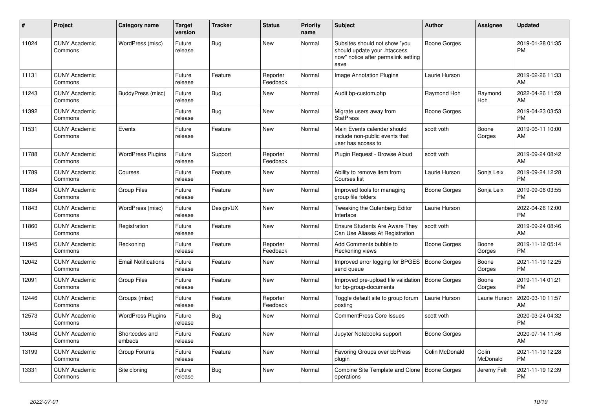| #     | Project                         | Category name              | <b>Target</b><br>version | <b>Tracker</b> | <b>Status</b>        | <b>Priority</b><br>name | <b>Subject</b>                                                                                               | <b>Author</b>       | <b>Assignee</b>   | <b>Updated</b>                |
|-------|---------------------------------|----------------------------|--------------------------|----------------|----------------------|-------------------------|--------------------------------------------------------------------------------------------------------------|---------------------|-------------------|-------------------------------|
| 11024 | <b>CUNY Academic</b><br>Commons | WordPress (misc)           | Future<br>release        | Bug            | <b>New</b>           | Normal                  | Subsites should not show "you<br>should update your .htaccess<br>now" notice after permalink setting<br>save | Boone Gorges        |                   | 2019-01-28 01:35<br><b>PM</b> |
| 11131 | <b>CUNY Academic</b><br>Commons |                            | Future<br>release        | Feature        | Reporter<br>Feedback | Normal                  | Image Annotation Plugins                                                                                     | Laurie Hurson       |                   | 2019-02-26 11:33<br>AM        |
| 11243 | <b>CUNY Academic</b><br>Commons | BuddyPress (misc)          | Future<br>release        | Bug            | New                  | Normal                  | Audit bp-custom.php                                                                                          | Raymond Hoh         | Raymond<br>Hoh    | 2022-04-26 11:59<br>AM        |
| 11392 | <b>CUNY Academic</b><br>Commons |                            | Future<br>release        | Bug            | <b>New</b>           | Normal                  | Migrate users away from<br><b>StatPress</b>                                                                  | Boone Gorges        |                   | 2019-04-23 03:53<br><b>PM</b> |
| 11531 | <b>CUNY Academic</b><br>Commons | Events                     | Future<br>release        | Feature        | <b>New</b>           | Normal                  | Main Events calendar should<br>include non-public events that<br>user has access to                          | scott voth          | Boone<br>Gorges   | 2019-06-11 10:00<br>AM        |
| 11788 | <b>CUNY Academic</b><br>Commons | <b>WordPress Plugins</b>   | Future<br>release        | Support        | Reporter<br>Feedback | Normal                  | Plugin Request - Browse Aloud                                                                                | scott voth          |                   | 2019-09-24 08:42<br>AM        |
| 11789 | <b>CUNY Academic</b><br>Commons | Courses                    | Future<br>release        | Feature        | <b>New</b>           | Normal                  | Ability to remove item from<br>Courses list                                                                  | Laurie Hurson       | Sonja Leix        | 2019-09-24 12:28<br><b>PM</b> |
| 11834 | <b>CUNY Academic</b><br>Commons | <b>Group Files</b>         | Future<br>release        | Feature        | New                  | Normal                  | Improved tools for managing<br>group file folders                                                            | Boone Gorges        | Sonja Leix        | 2019-09-06 03:55<br><b>PM</b> |
| 11843 | <b>CUNY Academic</b><br>Commons | WordPress (misc)           | Future<br>release        | Design/UX      | <b>New</b>           | Normal                  | Tweaking the Gutenberg Editor<br>Interface                                                                   | Laurie Hurson       |                   | 2022-04-26 12:00<br><b>PM</b> |
| 11860 | <b>CUNY Academic</b><br>Commons | Registration               | Future<br>release        | Feature        | <b>New</b>           | Normal                  | <b>Ensure Students Are Aware They</b><br>Can Use Aliases At Registration                                     | scott voth          |                   | 2019-09-24 08:46<br>AM        |
| 11945 | <b>CUNY Academic</b><br>Commons | Reckoning                  | Future<br>release        | Feature        | Reporter<br>Feedback | Normal                  | Add Comments bubble to<br>Reckoning views                                                                    | Boone Gorges        | Boone<br>Gorges   | 2019-11-12 05:14<br><b>PM</b> |
| 12042 | <b>CUNY Academic</b><br>Commons | <b>Email Notifications</b> | Future<br>release        | Feature        | <b>New</b>           | Normal                  | Improved error logging for BPGES<br>send queue                                                               | <b>Boone Gorges</b> | Boone<br>Gorges   | 2021-11-19 12:25<br><b>PM</b> |
| 12091 | <b>CUNY Academic</b><br>Commons | <b>Group Files</b>         | Future<br>release        | Feature        | <b>New</b>           | Normal                  | Improved pre-upload file validation<br>for bp-group-documents                                                | <b>Boone Gorges</b> | Boone<br>Gorges   | 2019-11-14 01:21<br><b>PM</b> |
| 12446 | <b>CUNY Academic</b><br>Commons | Groups (misc)              | Future<br>release        | Feature        | Reporter<br>Feedback | Normal                  | Toggle default site to group forum<br>posting                                                                | Laurie Hurson       | Laurie Hurson     | 2020-03-10 11:57<br>AM        |
| 12573 | <b>CUNY Academic</b><br>Commons | <b>WordPress Plugins</b>   | Future<br>release        | Bug            | New                  | Normal                  | <b>CommentPress Core Issues</b>                                                                              | scott voth          |                   | 2020-03-24 04:32<br><b>PM</b> |
| 13048 | <b>CUNY Academic</b><br>Commons | Shortcodes and<br>embeds   | Future<br>release        | Feature        | <b>New</b>           | Normal                  | Jupyter Notebooks support                                                                                    | Boone Gorges        |                   | 2020-07-14 11:46<br>AM        |
| 13199 | <b>CUNY Academic</b><br>Commons | Group Forums               | Future<br>release        | Feature        | <b>New</b>           | Normal                  | Favoring Groups over bbPress<br>plugin                                                                       | Colin McDonald      | Colin<br>McDonald | 2021-11-19 12:28<br><b>PM</b> |
| 13331 | <b>CUNY Academic</b><br>Commons | Site cloning               | Future<br>release        | <b>Bug</b>     | <b>New</b>           | Normal                  | Combine Site Template and Clone<br>operations                                                                | Boone Gorges        | Jeremy Felt       | 2021-11-19 12:39<br><b>PM</b> |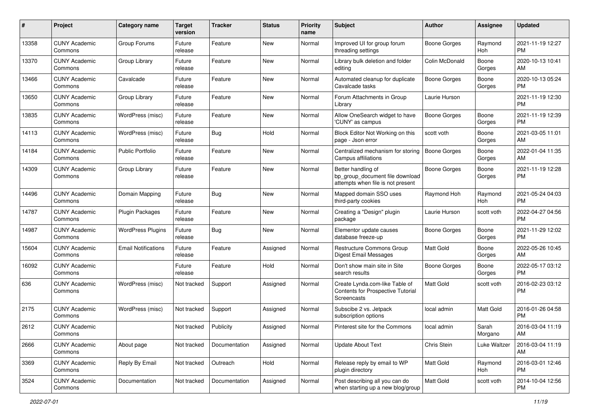| #     | Project                         | <b>Category name</b>       | <b>Target</b><br>version | <b>Tracker</b> | <b>Status</b> | <b>Priority</b><br>name | <b>Subject</b>                                                                             | Author              | Assignee         | <b>Updated</b>                |
|-------|---------------------------------|----------------------------|--------------------------|----------------|---------------|-------------------------|--------------------------------------------------------------------------------------------|---------------------|------------------|-------------------------------|
| 13358 | <b>CUNY Academic</b><br>Commons | Group Forums               | Future<br>release        | Feature        | New           | Normal                  | Improved UI for group forum<br>threading settings                                          | Boone Gorges        | Raymond<br>Hoh   | 2021-11-19 12:27<br><b>PM</b> |
| 13370 | <b>CUNY Academic</b><br>Commons | Group Library              | Future<br>release        | Feature        | New           | Normal                  | Library bulk deletion and folder<br>editing                                                | Colin McDonald      | Boone<br>Gorges  | 2020-10-13 10:41<br>AM        |
| 13466 | <b>CUNY Academic</b><br>Commons | Cavalcade                  | Future<br>release        | Feature        | New           | Normal                  | Automated cleanup for duplicate<br>Cavalcade tasks                                         | Boone Gorges        | Boone<br>Gorges  | 2020-10-13 05:24<br><b>PM</b> |
| 13650 | <b>CUNY Academic</b><br>Commons | Group Library              | Future<br>release        | Feature        | New           | Normal                  | Forum Attachments in Group<br>Library                                                      | Laurie Hurson       |                  | 2021-11-19 12:30<br><b>PM</b> |
| 13835 | <b>CUNY Academic</b><br>Commons | WordPress (misc)           | Future<br>release        | Feature        | New           | Normal                  | Allow OneSearch widget to have<br>'CUNY' as campus                                         | Boone Gorges        | Boone<br>Gorges  | 2021-11-19 12:39<br><b>PM</b> |
| 14113 | <b>CUNY Academic</b><br>Commons | WordPress (misc)           | Future<br>release        | Bug            | Hold          | Normal                  | Block Editor Not Working on this<br>page - Json error                                      | scott voth          | Boone<br>Gorges  | 2021-03-05 11:01<br>AM        |
| 14184 | <b>CUNY Academic</b><br>Commons | <b>Public Portfolio</b>    | Future<br>release        | Feature        | New           | Normal                  | Centralized mechanism for storing<br>Campus affiliations                                   | <b>Boone Gorges</b> | Boone<br>Gorges  | 2022-01-04 11:35<br>AM        |
| 14309 | <b>CUNY Academic</b><br>Commons | Group Library              | Future<br>release        | Feature        | New           | Normal                  | Better handling of<br>bp_group_document file download<br>attempts when file is not present | <b>Boone Gorges</b> | Boone<br>Gorges  | 2021-11-19 12:28<br>PM.       |
| 14496 | <b>CUNY Academic</b><br>Commons | Domain Mapping             | Future<br>release        | <b>Bug</b>     | <b>New</b>    | Normal                  | Mapped domain SSO uses<br>third-party cookies                                              | Raymond Hoh         | Raymond<br>Hoh   | 2021-05-24 04:03<br>PM.       |
| 14787 | <b>CUNY Academic</b><br>Commons | <b>Plugin Packages</b>     | Future<br>release        | Feature        | New           | Normal                  | Creating a "Design" plugin<br>package                                                      | Laurie Hurson       | scott voth       | 2022-04-27 04:56<br><b>PM</b> |
| 14987 | <b>CUNY Academic</b><br>Commons | <b>WordPress Plugins</b>   | Future<br>release        | Bug            | New           | Normal                  | Elementor update causes<br>database freeze-up                                              | Boone Gorges        | Boone<br>Gorges  | 2021-11-29 12:02<br><b>PM</b> |
| 15604 | <b>CUNY Academic</b><br>Commons | <b>Email Notifications</b> | Future<br>release        | Feature        | Assigned      | Normal                  | Restructure Commons Group<br>Digest Email Messages                                         | <b>Matt Gold</b>    | Boone<br>Gorges  | 2022-05-26 10:45<br>AM        |
| 16092 | <b>CUNY Academic</b><br>Commons |                            | Future<br>release        | Feature        | Hold          | Normal                  | Don't show main site in Site<br>search results                                             | Boone Gorges        | Boone<br>Gorges  | 2022-05-17 03:12<br><b>PM</b> |
| 636   | <b>CUNY Academic</b><br>Commons | WordPress (misc)           | Not tracked              | Support        | Assigned      | Normal                  | Create Lynda.com-like Table of<br>Contents for Prospective Tutorial<br>Screencasts         | <b>Matt Gold</b>    | scott voth       | 2016-02-23 03:12<br><b>PM</b> |
| 2175  | <b>CUNY Academic</b><br>Commons | WordPress (misc)           | Not tracked              | Support        | Assigned      | Normal                  | Subscibe 2 vs. Jetpack<br>subscription options                                             | local admin         | Matt Gold        | 2016-01-26 04:58<br><b>PM</b> |
| 2612  | <b>CUNY Academic</b><br>Commons |                            | Not tracked              | Publicity      | Assigned      | Normal                  | Pinterest site for the Commons                                                             | local admin         | Sarah<br>Morgano | 2016-03-04 11:19<br>AM        |
| 2666  | <b>CUNY Academic</b><br>Commons | About page                 | Not tracked              | Documentation  | Assigned      | Normal                  | <b>Update About Text</b>                                                                   | Chris Stein         | Luke Waltzer     | 2016-03-04 11:19<br>AM        |
| 3369  | <b>CUNY Academic</b><br>Commons | Reply By Email             | Not tracked              | Outreach       | Hold          | Normal                  | Release reply by email to WP<br>plugin directory                                           | Matt Gold           | Raymond<br>Hoh   | 2016-03-01 12:46<br><b>PM</b> |
| 3524  | <b>CUNY Academic</b><br>Commons | Documentation              | Not tracked              | Documentation  | Assigned      | Normal                  | Post describing all you can do<br>when starting up a new blog/group                        | Matt Gold           | scott voth       | 2014-10-04 12:56<br>PM        |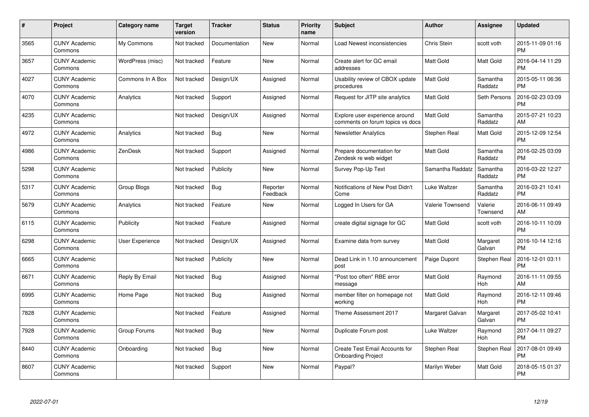| $\#$ | Project                         | <b>Category name</b>   | <b>Target</b><br>version | <b>Tracker</b> | <b>Status</b>        | Priority<br>name | <b>Subject</b>                                                     | <b>Author</b>           | <b>Assignee</b>     | <b>Updated</b>                |
|------|---------------------------------|------------------------|--------------------------|----------------|----------------------|------------------|--------------------------------------------------------------------|-------------------------|---------------------|-------------------------------|
| 3565 | <b>CUNY Academic</b><br>Commons | My Commons             | Not tracked              | Documentation  | <b>New</b>           | Normal           | Load Newest inconsistencies                                        | Chris Stein             | scott voth          | 2015-11-09 01:16<br><b>PM</b> |
| 3657 | <b>CUNY Academic</b><br>Commons | WordPress (misc)       | Not tracked              | Feature        | <b>New</b>           | Normal           | Create alert for GC email<br>addresses                             | <b>Matt Gold</b>        | Matt Gold           | 2016-04-14 11:29<br><b>PM</b> |
| 4027 | <b>CUNY Academic</b><br>Commons | Commons In A Box       | Not tracked              | Design/UX      | Assigned             | Normal           | Usability review of CBOX update<br>procedures                      | Matt Gold               | Samantha<br>Raddatz | 2015-05-11 06:36<br><b>PM</b> |
| 4070 | <b>CUNY Academic</b><br>Commons | Analytics              | Not tracked              | Support        | Assigned             | Normal           | Request for JITP site analytics                                    | Matt Gold               | Seth Persons        | 2016-02-23 03:09<br><b>PM</b> |
| 4235 | <b>CUNY Academic</b><br>Commons |                        | Not tracked              | Design/UX      | Assigned             | Normal           | Explore user experience around<br>comments on forum topics vs docs | <b>Matt Gold</b>        | Samantha<br>Raddatz | 2015-07-21 10:23<br>AM        |
| 4972 | <b>CUNY Academic</b><br>Commons | Analytics              | Not tracked              | Bug            | New                  | Normal           | <b>Newsletter Analytics</b>                                        | Stephen Real            | Matt Gold           | 2015-12-09 12:54<br><b>PM</b> |
| 4986 | <b>CUNY Academic</b><br>Commons | <b>ZenDesk</b>         | Not tracked              | Support        | Assigned             | Normal           | Prepare documentation for<br>Zendesk re web widget                 | <b>Matt Gold</b>        | Samantha<br>Raddatz | 2016-02-25 03:09<br><b>PM</b> |
| 5298 | <b>CUNY Academic</b><br>Commons |                        | Not tracked              | Publicity      | <b>New</b>           | Normal           | Survey Pop-Up Text                                                 | Samantha Raddatz        | Samantha<br>Raddatz | 2016-03-22 12:27<br><b>PM</b> |
| 5317 | <b>CUNY Academic</b><br>Commons | Group Blogs            | Not tracked              | <b>Bug</b>     | Reporter<br>Feedback | Normal           | Notifications of New Post Didn't<br>Come                           | Luke Waltzer            | Samantha<br>Raddatz | 2016-03-21 10:41<br><b>PM</b> |
| 5679 | <b>CUNY Academic</b><br>Commons | Analytics              | Not tracked              | Feature        | <b>New</b>           | Normal           | Logged In Users for GA                                             | <b>Valerie Townsend</b> | Valerie<br>Townsend | 2016-06-11 09:49<br>AM        |
| 6115 | <b>CUNY Academic</b><br>Commons | Publicity              | Not tracked              | Feature        | Assigned             | Normal           | create digital signage for GC                                      | Matt Gold               | scott voth          | 2016-10-11 10:09<br><b>PM</b> |
| 6298 | <b>CUNY Academic</b><br>Commons | <b>User Experience</b> | Not tracked              | Design/UX      | Assigned             | Normal           | Examine data from survey                                           | Matt Gold               | Margaret<br>Galvan  | 2016-10-14 12:16<br><b>PM</b> |
| 6665 | <b>CUNY Academic</b><br>Commons |                        | Not tracked              | Publicity      | New                  | Normal           | Dead Link in 1.10 announcement<br>post                             | Paige Dupont            | Stephen Real        | 2016-12-01 03:11<br><b>PM</b> |
| 6671 | <b>CUNY Academic</b><br>Commons | Reply By Email         | Not tracked              | Bug            | Assigned             | Normal           | "Post too often" RBE error<br>message                              | Matt Gold               | Raymond<br>Hoh      | 2016-11-11 09:55<br>AM        |
| 6995 | <b>CUNY Academic</b><br>Commons | Home Page              | Not tracked              | Bug            | Assigned             | Normal           | member filter on homepage not<br>workina                           | Matt Gold               | Raymond<br>Hoh      | 2016-12-11 09:46<br><b>PM</b> |
| 7828 | <b>CUNY Academic</b><br>Commons |                        | Not tracked              | Feature        | Assigned             | Normal           | Theme Assessment 2017                                              | Margaret Galvan         | Margaret<br>Galvan  | 2017-05-02 10:41<br><b>PM</b> |
| 7928 | <b>CUNY Academic</b><br>Commons | Group Forums           | Not tracked              | Bug            | New                  | Normal           | Duplicate Forum post                                               | Luke Waltzer            | Raymond<br>Hoh      | 2017-04-11 09:27<br><b>PM</b> |
| 8440 | <b>CUNY Academic</b><br>Commons | Onboarding             | Not tracked              | Bug            | New                  | Normal           | Create Test Email Accounts for<br><b>Onboarding Project</b>        | Stephen Real            | Stephen Real        | 2017-08-01 09:49<br><b>PM</b> |
| 8607 | <b>CUNY Academic</b><br>Commons |                        | Not tracked              | Support        | <b>New</b>           | Normal           | Paypal?                                                            | Marilyn Weber           | Matt Gold           | 2018-05-15 01:37<br><b>PM</b> |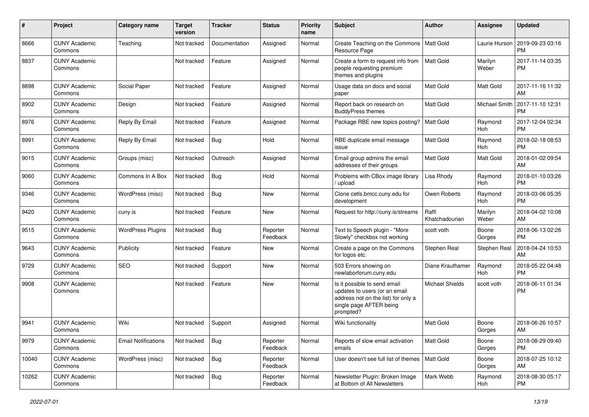| #     | Project                         | Category name              | <b>Target</b><br>version | <b>Tracker</b> | <b>Status</b>        | <b>Priority</b><br>name | <b>Subject</b>                                                                                                                               | Author                  | Assignee         | <b>Updated</b>                |
|-------|---------------------------------|----------------------------|--------------------------|----------------|----------------------|-------------------------|----------------------------------------------------------------------------------------------------------------------------------------------|-------------------------|------------------|-------------------------------|
| 8666  | <b>CUNY Academic</b><br>Commons | Teaching                   | Not tracked              | Documentation  | Assigned             | Normal                  | Create Teaching on the Commons<br>Resource Page                                                                                              | Matt Gold               | Laurie Hurson    | 2019-09-23 03:16<br>PM        |
| 8837  | <b>CUNY Academic</b><br>Commons |                            | Not tracked              | Feature        | Assigned             | Normal                  | Create a form to request info from<br>people requesting premium<br>themes and plugins                                                        | Matt Gold               | Marilyn<br>Weber | 2017-11-14 03:35<br><b>PM</b> |
| 8898  | <b>CUNY Academic</b><br>Commons | Social Paper               | Not tracked              | Feature        | Assigned             | Normal                  | Usage data on docs and social<br>paper                                                                                                       | <b>Matt Gold</b>        | <b>Matt Gold</b> | 2017-11-16 11:32<br>AM        |
| 8902  | <b>CUNY Academic</b><br>Commons | Design                     | Not tracked              | Feature        | Assigned             | Normal                  | Report back on research on<br><b>BuddyPress themes</b>                                                                                       | Matt Gold               | Michael Smith    | 2017-11-10 12:31<br>PM        |
| 8976  | <b>CUNY Academic</b><br>Commons | Reply By Email             | Not tracked              | Feature        | Assigned             | Normal                  | Package RBE new topics posting?                                                                                                              | Matt Gold               | Raymond<br>Hoh   | 2017-12-04 02:34<br><b>PM</b> |
| 8991  | <b>CUNY Academic</b><br>Commons | Reply By Email             | Not tracked              | Bug            | Hold                 | Normal                  | RBE duplicate email message<br>issue                                                                                                         | <b>Matt Gold</b>        | Raymond<br>Hoh   | 2018-02-18 08:53<br><b>PM</b> |
| 9015  | <b>CUNY Academic</b><br>Commons | Groups (misc)              | Not tracked              | Outreach       | Assigned             | Normal                  | Email group admins the email<br>addresses of their groups                                                                                    | <b>Matt Gold</b>        | <b>Matt Gold</b> | 2018-01-02 09:54<br>AM        |
| 9060  | <b>CUNY Academic</b><br>Commons | Commons In A Box           | Not tracked              | <b>Bug</b>     | Hold                 | Normal                  | Problems with CBox image library<br>/ upload                                                                                                 | Lisa Rhody              | Raymond<br>Hoh   | 2018-01-10 03:26<br><b>PM</b> |
| 9346  | <b>CUNY Academic</b><br>Commons | WordPress (misc)           | Not tracked              | Bug            | <b>New</b>           | Normal                  | Clone cetls.bmcc.cuny.edu for<br>development                                                                                                 | Owen Roberts            | Raymond<br>Hoh   | 2018-03-06 05:35<br><b>PM</b> |
| 9420  | <b>CUNY Academic</b><br>Commons | cuny.is                    | Not tracked              | Feature        | New                  | Normal                  | Request for http://cuny.is/streams                                                                                                           | Raffi<br>Khatchadourian | Marilyn<br>Weber | 2018-04-02 10:08<br>AM        |
| 9515  | <b>CUNY Academic</b><br>Commons | <b>WordPress Plugins</b>   | Not tracked              | Bug            | Reporter<br>Feedback | Normal                  | Text to Speech plugin - "More<br>Slowly" checkbox not working                                                                                | scott voth              | Boone<br>Gorges  | 2018-06-13 02:26<br><b>PM</b> |
| 9643  | <b>CUNY Academic</b><br>Commons | Publicity                  | Not tracked              | Feature        | New                  | Normal                  | Create a page on the Commons<br>for logos etc.                                                                                               | Stephen Real            | Stephen Real     | 2018-04-24 10:53<br>AM        |
| 9729  | <b>CUNY Academic</b><br>Commons | <b>SEO</b>                 | Not tracked              | Support        | <b>New</b>           | Normal                  | 503 Errors showing on<br>newlaborforum.cuny.edu                                                                                              | Diane Krauthamer        | Raymond<br>Hoh   | 2018-05-22 04:48<br><b>PM</b> |
| 9908  | <b>CUNY Academic</b><br>Commons |                            | Not tracked              | Feature        | New                  | Normal                  | Is it possible to send email<br>updates to users (or an email<br>address not on the list) for only a<br>single page AFTER being<br>prompted? | <b>Michael Shields</b>  | scott voth       | 2018-06-11 01:34<br><b>PM</b> |
| 9941  | <b>CUNY Academic</b><br>Commons | Wiki                       | Not tracked              | Support        | Assigned             | Normal                  | Wiki functionality                                                                                                                           | <b>Matt Gold</b>        | Boone<br>Gorges  | 2018-06-26 10:57<br>AM        |
| 9979  | <b>CUNY Academic</b><br>Commons | <b>Email Notifications</b> | Not tracked              | <b>Bug</b>     | Reporter<br>Feedback | Normal                  | Reports of slow email activation<br>emails                                                                                                   | Matt Gold               | Boone<br>Gorges  | 2018-08-29 09:40<br><b>PM</b> |
| 10040 | <b>CUNY Academic</b><br>Commons | WordPress (misc)           | Not tracked              | <b>Bug</b>     | Reporter<br>Feedback | Normal                  | User doesn't see full list of themes                                                                                                         | Matt Gold               | Boone<br>Gorges  | 2018-07-25 10:12<br>AM        |
| 10262 | <b>CUNY Academic</b><br>Commons |                            | Not tracked              | <b>Bug</b>     | Reporter<br>Feedback | Normal                  | Newsletter Plugin: Broken Image<br>at Bottom of All Newsletters                                                                              | Mark Webb               | Raymond<br>Hoh   | 2018-08-30 05:17<br>PM        |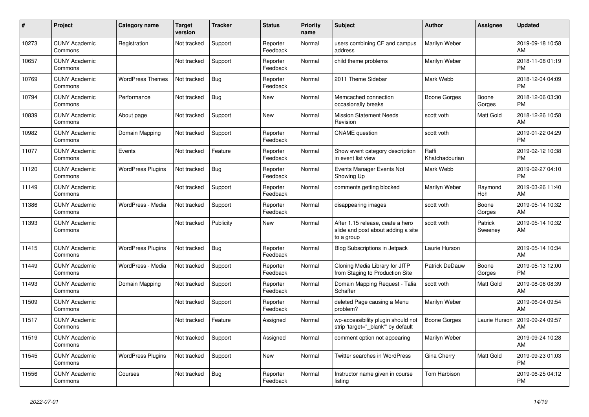| #     | Project                         | <b>Category name</b>     | Target<br>version | <b>Tracker</b> | <b>Status</b>        | <b>Priority</b><br>name | <b>Subject</b>                                                                       | <b>Author</b>           | <b>Assignee</b>    | <b>Updated</b>                |
|-------|---------------------------------|--------------------------|-------------------|----------------|----------------------|-------------------------|--------------------------------------------------------------------------------------|-------------------------|--------------------|-------------------------------|
| 10273 | <b>CUNY Academic</b><br>Commons | Registration             | Not tracked       | Support        | Reporter<br>Feedback | Normal                  | users combining CF and campus<br>address                                             | Marilyn Weber           |                    | 2019-09-18 10:58<br>AM.       |
| 10657 | <b>CUNY Academic</b><br>Commons |                          | Not tracked       | Support        | Reporter<br>Feedback | Normal                  | child theme problems                                                                 | Marilyn Weber           |                    | 2018-11-08 01:19<br><b>PM</b> |
| 10769 | <b>CUNY Academic</b><br>Commons | <b>WordPress Themes</b>  | Not tracked       | <b>Bug</b>     | Reporter<br>Feedback | Normal                  | 2011 Theme Sidebar                                                                   | Mark Webb               |                    | 2018-12-04 04:09<br><b>PM</b> |
| 10794 | <b>CUNY Academic</b><br>Commons | Performance              | Not tracked       | <b>Bug</b>     | <b>New</b>           | Normal                  | Memcached connection<br>occasionally breaks                                          | <b>Boone Gorges</b>     | Boone<br>Gorges    | 2018-12-06 03:30<br><b>PM</b> |
| 10839 | <b>CUNY Academic</b><br>Commons | About page               | Not tracked       | Support        | New                  | Normal                  | <b>Mission Statement Needs</b><br>Revision                                           | scott voth              | Matt Gold          | 2018-12-26 10:58<br>AM        |
| 10982 | <b>CUNY Academic</b><br>Commons | Domain Mapping           | Not tracked       | Support        | Reporter<br>Feedback | Normal                  | <b>CNAME</b> question                                                                | scott voth              |                    | 2019-01-22 04:29<br><b>PM</b> |
| 11077 | <b>CUNY Academic</b><br>Commons | Events                   | Not tracked       | Feature        | Reporter<br>Feedback | Normal                  | Show event category description<br>in event list view                                | Raffi<br>Khatchadourian |                    | 2019-02-12 10:38<br><b>PM</b> |
| 11120 | <b>CUNY Academic</b><br>Commons | <b>WordPress Plugins</b> | Not tracked       | Bug            | Reporter<br>Feedback | Normal                  | Events Manager Events Not<br>Showing Up                                              | Mark Webb               |                    | 2019-02-27 04:10<br><b>PM</b> |
| 11149 | <b>CUNY Academic</b><br>Commons |                          | Not tracked       | Support        | Reporter<br>Feedback | Normal                  | comments getting blocked                                                             | Marilyn Weber           | Raymond<br>Hoh     | 2019-03-26 11:40<br>AM        |
| 11386 | <b>CUNY Academic</b><br>Commons | WordPress - Media        | Not tracked       | Support        | Reporter<br>Feedback | Normal                  | disappearing images                                                                  | scott voth              | Boone<br>Gorges    | 2019-05-14 10:32<br>AM        |
| 11393 | <b>CUNY Academic</b><br>Commons |                          | Not tracked       | Publicity      | New                  | Normal                  | After 1.15 release, ceate a hero<br>slide and post about adding a site<br>to a group | scott voth              | Patrick<br>Sweeney | 2019-05-14 10:32<br>AM        |
| 11415 | <b>CUNY Academic</b><br>Commons | <b>WordPress Plugins</b> | Not tracked       | Bug            | Reporter<br>Feedback | Normal                  | <b>Blog Subscriptions in Jetpack</b>                                                 | Laurie Hurson           |                    | 2019-05-14 10:34<br>AM        |
| 11449 | <b>CUNY Academic</b><br>Commons | WordPress - Media        | Not tracked       | Support        | Reporter<br>Feedback | Normal                  | Cloning Media Library for JITP<br>from Staging to Production Site                    | <b>Patrick DeDauw</b>   | Boone<br>Gorges    | 2019-05-13 12:00<br><b>PM</b> |
| 11493 | <b>CUNY Academic</b><br>Commons | Domain Mapping           | Not tracked       | Support        | Reporter<br>Feedback | Normal                  | Domain Mapping Request - Talia<br>Schaffer                                           | scott voth              | Matt Gold          | 2019-08-06 08:39<br>AM        |
| 11509 | <b>CUNY Academic</b><br>Commons |                          | Not tracked       | Support        | Reporter<br>Feedback | Normal                  | deleted Page causing a Menu<br>problem?                                              | Marilyn Weber           |                    | 2019-06-04 09:54<br><b>AM</b> |
| 11517 | <b>CUNY Academic</b><br>Commons |                          | Not tracked       | Feature        | Assigned             | Normal                  | wp-accessibility plugin should not<br>strip 'target=" blank" by default              | Boone Gorges            | Laurie Hurson      | 2019-09-24 09:57<br>AM        |
| 11519 | <b>CUNY Academic</b><br>Commons |                          | Not tracked       | Support        | Assigned             | Normal                  | comment option not appearing                                                         | Marilyn Weber           |                    | 2019-09-24 10:28<br>AM        |
| 11545 | <b>CUNY Academic</b><br>Commons | <b>WordPress Plugins</b> | Not tracked       | Support        | New                  | Normal                  | <b>Twitter searches in WordPress</b>                                                 | Gina Cherry             | Matt Gold          | 2019-09-23 01:03<br><b>PM</b> |
| 11556 | <b>CUNY Academic</b><br>Commons | Courses                  | Not tracked       | <b>Bug</b>     | Reporter<br>Feedback | Normal                  | Instructor name given in course<br>listing                                           | Tom Harbison            |                    | 2019-06-25 04:12<br><b>PM</b> |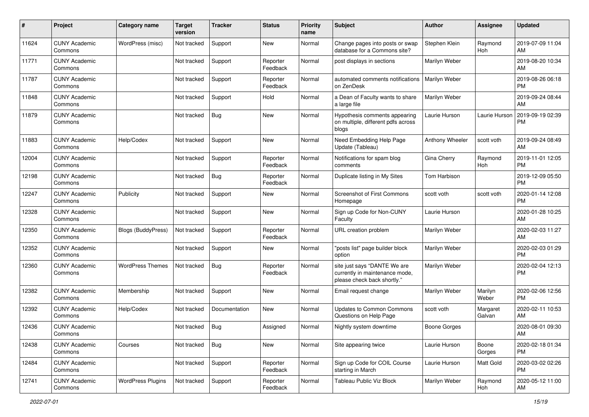| #     | Project                         | <b>Category name</b>      | <b>Target</b><br>version | Tracker       | <b>Status</b>        | <b>Priority</b><br>name | <b>Subject</b>                                                                                | Author              | <b>Assignee</b>    | <b>Updated</b>                |
|-------|---------------------------------|---------------------------|--------------------------|---------------|----------------------|-------------------------|-----------------------------------------------------------------------------------------------|---------------------|--------------------|-------------------------------|
| 11624 | <b>CUNY Academic</b><br>Commons | WordPress (misc)          | Not tracked              | Support       | <b>New</b>           | Normal                  | Change pages into posts or swap<br>database for a Commons site?                               | Stephen Klein       | Raymond<br>Hoh     | 2019-07-09 11:04<br>AM        |
| 11771 | <b>CUNY Academic</b><br>Commons |                           | Not tracked              | Support       | Reporter<br>Feedback | Normal                  | post displays in sections                                                                     | Marilyn Weber       |                    | 2019-08-20 10:34<br>AM        |
| 11787 | <b>CUNY Academic</b><br>Commons |                           | Not tracked              | Support       | Reporter<br>Feedback | Normal                  | automated comments notifications<br>on ZenDesk                                                | Marilyn Weber       |                    | 2019-08-26 06:18<br><b>PM</b> |
| 11848 | <b>CUNY Academic</b><br>Commons |                           | Not tracked              | Support       | Hold                 | Normal                  | a Dean of Faculty wants to share<br>a large file                                              | Marilyn Weber       |                    | 2019-09-24 08:44<br>AM        |
| 11879 | <b>CUNY Academic</b><br>Commons |                           | Not tracked              | Bug           | <b>New</b>           | Normal                  | Hypothesis comments appearing<br>on multiple, different pdfs across<br>blogs                  | Laurie Hurson       | Laurie Hurson      | 2019-09-19 02:39<br>PM        |
| 11883 | <b>CUNY Academic</b><br>Commons | Help/Codex                | Not tracked              | Support       | <b>New</b>           | Normal                  | Need Embedding Help Page<br>Update (Tableau)                                                  | Anthony Wheeler     | scott voth         | 2019-09-24 08:49<br>AM        |
| 12004 | <b>CUNY Academic</b><br>Commons |                           | Not tracked              | Support       | Reporter<br>Feedback | Normal                  | Notifications for spam blog<br>comments                                                       | Gina Cherry         | Raymond<br>Hoh     | 2019-11-01 12:05<br><b>PM</b> |
| 12198 | <b>CUNY Academic</b><br>Commons |                           | Not tracked              | Bug           | Reporter<br>Feedback | Normal                  | Duplicate listing in My Sites                                                                 | Tom Harbison        |                    | 2019-12-09 05:50<br><b>PM</b> |
| 12247 | <b>CUNY Academic</b><br>Commons | Publicity                 | Not tracked              | Support       | <b>New</b>           | Normal                  | <b>Screenshot of First Commons</b><br>Homepage                                                | scott voth          | scott voth         | 2020-01-14 12:08<br><b>PM</b> |
| 12328 | <b>CUNY Academic</b><br>Commons |                           | Not tracked              | Support       | New                  | Normal                  | Sign up Code for Non-CUNY<br>Faculty                                                          | Laurie Hurson       |                    | 2020-01-28 10:25<br>AM        |
| 12350 | <b>CUNY Academic</b><br>Commons | <b>Blogs (BuddyPress)</b> | Not tracked              | Support       | Reporter<br>Feedback | Normal                  | URL creation problem                                                                          | Marilyn Weber       |                    | 2020-02-03 11:27<br>AM        |
| 12352 | <b>CUNY Academic</b><br>Commons |                           | Not tracked              | Support       | New                  | Normal                  | "posts list" page builder block<br>option                                                     | Marilyn Weber       |                    | 2020-02-03 01:29<br><b>PM</b> |
| 12360 | <b>CUNY Academic</b><br>Commons | <b>WordPress Themes</b>   | Not tracked              | <b>Bug</b>    | Reporter<br>Feedback | Normal                  | site just says "DANTE We are<br>currently in maintenance mode,<br>please check back shortly." | Marilyn Weber       |                    | 2020-02-04 12:13<br><b>PM</b> |
| 12382 | <b>CUNY Academic</b><br>Commons | Membership                | Not tracked              | Support       | <b>New</b>           | Normal                  | Email request change                                                                          | Marilyn Weber       | Marilyn<br>Weber   | 2020-02-06 12:56<br><b>PM</b> |
| 12392 | <b>CUNY Academic</b><br>Commons | Help/Codex                | Not tracked              | Documentation | New                  | Normal                  | Updates to Common Commons<br>Questions on Help Page                                           | scott voth          | Margaret<br>Galvan | 2020-02-11 10:53<br>AM        |
| 12436 | <b>CUNY Academic</b><br>Commons |                           | Not tracked              | <b>Bug</b>    | Assigned             | Normal                  | Nightly system downtime                                                                       | <b>Boone Gorges</b> |                    | 2020-08-01 09:30<br>AM        |
| 12438 | <b>CUNY Academic</b><br>Commons | Courses                   | Not tracked              | <b>Bug</b>    | New                  | Normal                  | Site appearing twice                                                                          | Laurie Hurson       | Boone<br>Gorges    | 2020-02-18 01:34<br><b>PM</b> |
| 12484 | <b>CUNY Academic</b><br>Commons |                           | Not tracked              | Support       | Reporter<br>Feedback | Normal                  | Sign up Code for COIL Course<br>starting in March                                             | Laurie Hurson       | Matt Gold          | 2020-03-02 02:26<br><b>PM</b> |
| 12741 | <b>CUNY Academic</b><br>Commons | <b>WordPress Plugins</b>  | Not tracked              | Support       | Reporter<br>Feedback | Normal                  | Tableau Public Viz Block                                                                      | Marilyn Weber       | Raymond<br>Hoh     | 2020-05-12 11:00<br>AM        |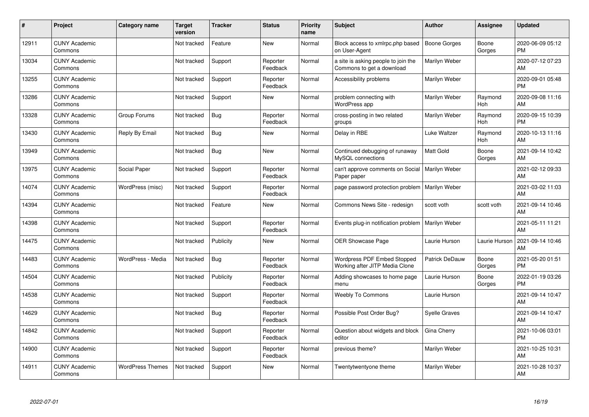| #     | Project                         | Category name           | <b>Target</b><br>version | <b>Tracker</b> | <b>Status</b>        | Priority<br>name | <b>Subject</b>                                                       | <b>Author</b>        | <b>Assignee</b> | <b>Updated</b>                |
|-------|---------------------------------|-------------------------|--------------------------|----------------|----------------------|------------------|----------------------------------------------------------------------|----------------------|-----------------|-------------------------------|
| 12911 | <b>CUNY Academic</b><br>Commons |                         | Not tracked              | Feature        | <b>New</b>           | Normal           | Block access to xmlrpc.php based<br>on User-Agent                    | <b>Boone Gorges</b>  | Boone<br>Gorges | 2020-06-09 05:12<br><b>PM</b> |
| 13034 | <b>CUNY Academic</b><br>Commons |                         | Not tracked              | Support        | Reporter<br>Feedback | Normal           | a site is asking people to join the<br>Commons to get a download     | Marilyn Weber        |                 | 2020-07-12 07:23<br>AM        |
| 13255 | <b>CUNY Academic</b><br>Commons |                         | Not tracked              | Support        | Reporter<br>Feedback | Normal           | Accessibility problems                                               | Marilyn Weber        |                 | 2020-09-01 05:48<br><b>PM</b> |
| 13286 | <b>CUNY Academic</b><br>Commons |                         | Not tracked              | Support        | <b>New</b>           | Normal           | problem connecting with<br>WordPress app                             | Marilyn Weber        | Raymond<br>Hoh  | 2020-09-08 11:16<br>AM        |
| 13328 | <b>CUNY Academic</b><br>Commons | Group Forums            | Not tracked              | Bug            | Reporter<br>Feedback | Normal           | cross-posting in two related<br>groups                               | Marilyn Weber        | Raymond<br>Hoh  | 2020-09-15 10:39<br><b>PM</b> |
| 13430 | <b>CUNY Academic</b><br>Commons | Reply By Email          | Not tracked              | Bug            | <b>New</b>           | Normal           | Delay in RBE                                                         | Luke Waltzer         | Raymond<br>Hoh  | 2020-10-13 11:16<br>AM        |
| 13949 | <b>CUNY Academic</b><br>Commons |                         | Not tracked              | Bug            | New                  | Normal           | Continued debugging of runaway<br>MySQL connections                  | <b>Matt Gold</b>     | Boone<br>Gorges | 2021-09-14 10:42<br>AM        |
| 13975 | <b>CUNY Academic</b><br>Commons | Social Paper            | Not tracked              | Support        | Reporter<br>Feedback | Normal           | can't approve comments on Social<br>Paper paper                      | Marilyn Weber        |                 | 2021-02-12 09:33<br>AM        |
| 14074 | <b>CUNY Academic</b><br>Commons | WordPress (misc)        | Not tracked              | Support        | Reporter<br>Feedback | Normal           | page password protection problem   Marilyn Weber                     |                      |                 | 2021-03-02 11:03<br>AM        |
| 14394 | <b>CUNY Academic</b><br>Commons |                         | Not tracked              | Feature        | <b>New</b>           | Normal           | Commons News Site - redesign                                         | scott voth           | scott voth      | 2021-09-14 10:46<br>AM        |
| 14398 | <b>CUNY Academic</b><br>Commons |                         | Not tracked              | Support        | Reporter<br>Feedback | Normal           | Events plug-in notification problem                                  | Marilyn Weber        |                 | 2021-05-11 11:21<br>AM        |
| 14475 | <b>CUNY Academic</b><br>Commons |                         | Not tracked              | Publicity      | <b>New</b>           | Normal           | <b>OER Showcase Page</b>                                             | Laurie Hurson        | Laurie Hurson   | 2021-09-14 10:46<br>AM        |
| 14483 | <b>CUNY Academic</b><br>Commons | WordPress - Media       | Not tracked              | Bug            | Reporter<br>Feedback | Normal           | <b>Wordpress PDF Embed Stopped</b><br>Working after JITP Media Clone | Patrick DeDauw       | Boone<br>Gorges | 2021-05-20 01:51<br><b>PM</b> |
| 14504 | <b>CUNY Academic</b><br>Commons |                         | Not tracked              | Publicity      | Reporter<br>Feedback | Normal           | Adding showcases to home page<br>menu                                | Laurie Hurson        | Boone<br>Gorges | 2022-01-19 03:26<br><b>PM</b> |
| 14538 | <b>CUNY Academic</b><br>Commons |                         | Not tracked              | Support        | Reporter<br>Feedback | Normal           | <b>Weebly To Commons</b>                                             | Laurie Hurson        |                 | 2021-09-14 10:47<br>AM        |
| 14629 | <b>CUNY Academic</b><br>Commons |                         | Not tracked              | Bug            | Reporter<br>Feedback | Normal           | Possible Post Order Bug?                                             | <b>Syelle Graves</b> |                 | 2021-09-14 10:47<br>AM        |
| 14842 | <b>CUNY Academic</b><br>Commons |                         | Not tracked              | Support        | Reporter<br>Feedback | Normal           | Question about widgets and block<br>editor                           | Gina Cherry          |                 | 2021-10-06 03:01<br><b>PM</b> |
| 14900 | <b>CUNY Academic</b><br>Commons |                         | Not tracked              | Support        | Reporter<br>Feedback | Normal           | previous theme?                                                      | Marilyn Weber        |                 | 2021-10-25 10:31<br>AM        |
| 14911 | <b>CUNY Academic</b><br>Commons | <b>WordPress Themes</b> | Not tracked              | Support        | <b>New</b>           | Normal           | Twentytwentyone theme                                                | Marilyn Weber        |                 | 2021-10-28 10:37<br>AM        |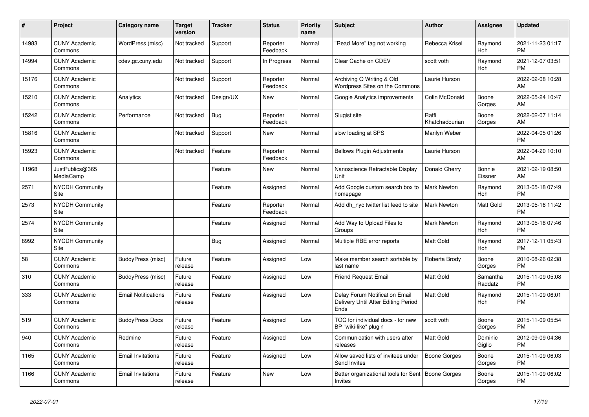| #     | <b>Project</b>                  | Category name              | <b>Target</b><br>version | <b>Tracker</b> | <b>Status</b>        | <b>Priority</b><br>name | <b>Subject</b>                                                                | <b>Author</b>           | Assignee            | <b>Updated</b>                |
|-------|---------------------------------|----------------------------|--------------------------|----------------|----------------------|-------------------------|-------------------------------------------------------------------------------|-------------------------|---------------------|-------------------------------|
| 14983 | <b>CUNY Academic</b><br>Commons | WordPress (misc)           | Not tracked              | Support        | Reporter<br>Feedback | Normal                  | "Read More" tag not working                                                   | Rebecca Krisel          | Raymond<br>Hoh      | 2021-11-23 01:17<br><b>PM</b> |
| 14994 | <b>CUNY Academic</b><br>Commons | cdev.gc.cuny.edu           | Not tracked              | Support        | In Progress          | Normal                  | Clear Cache on CDEV                                                           | scott voth              | Raymond<br>Hoh      | 2021-12-07 03:51<br><b>PM</b> |
| 15176 | <b>CUNY Academic</b><br>Commons |                            | Not tracked              | Support        | Reporter<br>Feedback | Normal                  | Archiving Q Writing & Old<br>Wordpress Sites on the Commons                   | Laurie Hurson           |                     | 2022-02-08 10:28<br>AM        |
| 15210 | <b>CUNY Academic</b><br>Commons | Analytics                  | Not tracked              | Design/UX      | <b>New</b>           | Normal                  | Google Analytics improvements                                                 | Colin McDonald          | Boone<br>Gorges     | 2022-05-24 10:47<br>AM        |
| 15242 | <b>CUNY Academic</b><br>Commons | Performance                | Not tracked              | Bug            | Reporter<br>Feedback | Normal                  | Slugist site                                                                  | Raffi<br>Khatchadourian | Boone<br>Gorges     | 2022-02-07 11:14<br>AM        |
| 15816 | <b>CUNY Academic</b><br>Commons |                            | Not tracked              | Support        | New                  | Normal                  | slow loading at SPS                                                           | Marilyn Weber           |                     | 2022-04-05 01:26<br><b>PM</b> |
| 15923 | <b>CUNY Academic</b><br>Commons |                            | Not tracked              | Feature        | Reporter<br>Feedback | Normal                  | <b>Bellows Plugin Adjustments</b>                                             | Laurie Hurson           |                     | 2022-04-20 10:10<br>AM        |
| 11968 | JustPublics@365<br>MediaCamp    |                            |                          | Feature        | <b>New</b>           | Normal                  | Nanoscience Retractable Display<br>Unit                                       | Donald Cherry           | Bonnie<br>Eissner   | 2021-02-19 08:50<br>AM        |
| 2571  | NYCDH Community<br>Site         |                            |                          | Feature        | Assigned             | Normal                  | Add Google custom search box to<br>homepage                                   | <b>Mark Newton</b>      | Raymond<br>Hoh      | 2013-05-18 07:49<br><b>PM</b> |
| 2573  | <b>NYCDH Community</b><br>Site  |                            |                          | Feature        | Reporter<br>Feedback | Normal                  | Add dh nyc twitter list feed to site                                          | Mark Newton             | Matt Gold           | 2013-05-16 11:42<br><b>PM</b> |
| 2574  | <b>NYCDH Community</b><br>Site  |                            |                          | Feature        | Assigned             | Normal                  | Add Way to Upload Files to<br>Groups                                          | <b>Mark Newton</b>      | Raymond<br>Hoh      | 2013-05-18 07:46<br><b>PM</b> |
| 8992  | <b>NYCDH Community</b><br>Site  |                            |                          | <b>Bug</b>     | Assigned             | Normal                  | Multiple RBE error reports                                                    | <b>Matt Gold</b>        | Raymond<br>Hoh      | 2017-12-11 05:43<br><b>PM</b> |
| 58    | <b>CUNY Academic</b><br>Commons | BuddyPress (misc)          | Future<br>release        | Feature        | Assigned             | Low                     | Make member search sortable by<br>last name                                   | Roberta Brody           | Boone<br>Gorges     | 2010-08-26 02:38<br><b>PM</b> |
| 310   | <b>CUNY Academic</b><br>Commons | BuddyPress (misc)          | Future<br>release        | Feature        | Assigned             | Low                     | <b>Friend Request Email</b>                                                   | <b>Matt Gold</b>        | Samantha<br>Raddatz | 2015-11-09 05:08<br><b>PM</b> |
| 333   | <b>CUNY Academic</b><br>Commons | <b>Email Notifications</b> | Future<br>release        | Feature        | Assigned             | Low                     | Delay Forum Notification Email<br>Delivery Until After Editing Period<br>Ends | <b>Matt Gold</b>        | Raymond<br>Hoh      | 2015-11-09 06:01<br><b>PM</b> |
| 519   | <b>CUNY Academic</b><br>Commons | <b>BuddyPress Docs</b>     | Future<br>release        | Feature        | Assigned             | Low                     | TOC for individual docs - for new<br>BP "wiki-like" plugin                    | scott voth              | Boone<br>Gorges     | 2015-11-09 05:54<br><b>PM</b> |
| 940   | <b>CUNY Academic</b><br>Commons | Redmine                    | Future<br>release        | Feature        | Assigned             | Low                     | Communication with users after<br>releases                                    | <b>Matt Gold</b>        | Dominic<br>Giglio   | 2012-09-09 04:36<br><b>PM</b> |
| 1165  | <b>CUNY Academic</b><br>Commons | Email Invitations          | Future<br>release        | Feature        | Assigned             | Low                     | Allow saved lists of invitees under<br>Send Invites                           | Boone Gorges            | Boone<br>Gorges     | 2015-11-09 06:03<br><b>PM</b> |
| 1166  | <b>CUNY Academic</b><br>Commons | <b>Email Invitations</b>   | Future<br>release        | Feature        | <b>New</b>           | Low                     | Better organizational tools for Sent<br>Invites                               | Boone Gorges            | Boone<br>Gorges     | 2015-11-09 06:02<br><b>PM</b> |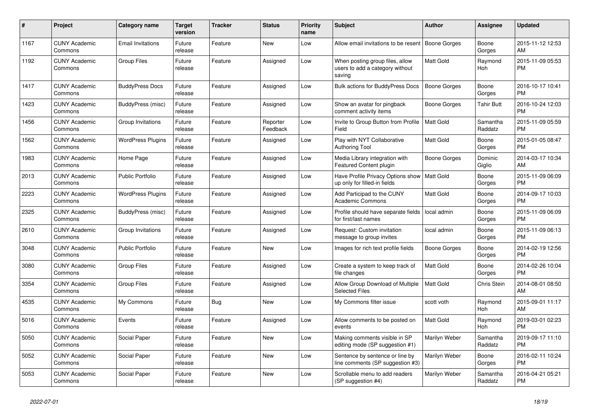| #    | <b>Project</b>                  | Category name            | <b>Target</b><br>version | <b>Tracker</b> | <b>Status</b>        | <b>Priority</b><br>name | <b>Subject</b>                                                                | <b>Author</b>       | Assignee            | <b>Updated</b>                |
|------|---------------------------------|--------------------------|--------------------------|----------------|----------------------|-------------------------|-------------------------------------------------------------------------------|---------------------|---------------------|-------------------------------|
| 1167 | <b>CUNY Academic</b><br>Commons | <b>Email Invitations</b> | Future<br>release        | Feature        | New                  | Low                     | Allow email invitations to be resent                                          | Boone Gorges        | Boone<br>Gorges     | 2015-11-12 12:53<br>AM        |
| 1192 | <b>CUNY Academic</b><br>Commons | <b>Group Files</b>       | Future<br>release        | Feature        | Assigned             | Low                     | When posting group files, allow<br>users to add a category without<br>saving  | Matt Gold           | Raymond<br>Hoh      | 2015-11-09 05:53<br><b>PM</b> |
| 1417 | <b>CUNY Academic</b><br>Commons | <b>BuddyPress Docs</b>   | Future<br>release        | Feature        | Assigned             | Low                     | <b>Bulk actions for BuddyPress Docs</b>                                       | <b>Boone Gorges</b> | Boone<br>Gorges     | 2016-10-17 10:41<br><b>PM</b> |
| 1423 | <b>CUNY Academic</b><br>Commons | BuddyPress (misc)        | Future<br>release        | Feature        | Assigned             | Low                     | Show an avatar for pingback<br>comment activity items                         | Boone Gorges        | Tahir Butt          | 2016-10-24 12:03<br><b>PM</b> |
| 1456 | <b>CUNY Academic</b><br>Commons | Group Invitations        | Future<br>release        | Feature        | Reporter<br>Feedback | Low                     | Invite to Group Button from Profile<br>Field                                  | Matt Gold           | Samantha<br>Raddatz | 2015-11-09 05:59<br><b>PM</b> |
| 1562 | <b>CUNY Academic</b><br>Commons | <b>WordPress Plugins</b> | Future<br>release        | Feature        | Assigned             | Low                     | Play with NYT Collaborative<br>Authoring Tool                                 | <b>Matt Gold</b>    | Boone<br>Gorges     | 2015-01-05 08:47<br><b>PM</b> |
| 1983 | <b>CUNY Academic</b><br>Commons | Home Page                | Future<br>release        | Feature        | Assigned             | Low                     | Media Library integration with<br>Featured Content plugin                     | Boone Gorges        | Dominic<br>Giglio   | 2014-03-17 10:34<br>AM        |
| 2013 | <b>CUNY Academic</b><br>Commons | <b>Public Portfolio</b>  | Future<br>release        | Feature        | Assigned             | Low                     | Have Profile Privacy Options show   Matt Gold<br>up only for filled-in fields |                     | Boone<br>Gorges     | 2015-11-09 06:09<br><b>PM</b> |
| 2223 | <b>CUNY Academic</b><br>Commons | <b>WordPress Plugins</b> | Future<br>release        | Feature        | Assigned             | Low                     | Add Participad to the CUNY<br><b>Academic Commons</b>                         | Matt Gold           | Boone<br>Gorges     | 2014-09-17 10:03<br><b>PM</b> |
| 2325 | <b>CUNY Academic</b><br>Commons | <b>BuddyPress (misc)</b> | Future<br>release        | Feature        | Assigned             | Low                     | Profile should have separate fields<br>for first/last names                   | local admin         | Boone<br>Gorges     | 2015-11-09 06:09<br><b>PM</b> |
| 2610 | <b>CUNY Academic</b><br>Commons | Group Invitations        | Future<br>release        | Feature        | Assigned             | Low                     | Request: Custom invitation<br>message to group invites                        | local admin         | Boone<br>Gorges     | 2015-11-09 06:13<br><b>PM</b> |
| 3048 | <b>CUNY Academic</b><br>Commons | Public Portfolio         | Future<br>release        | Feature        | New                  | Low                     | Images for rich text profile fields                                           | Boone Gorges        | Boone<br>Gorges     | 2014-02-19 12:56<br><b>PM</b> |
| 3080 | <b>CUNY Academic</b><br>Commons | <b>Group Files</b>       | Future<br>release        | Feature        | Assigned             | Low                     | Create a system to keep track of<br>file changes                              | Matt Gold           | Boone<br>Gorges     | 2014-02-26 10:04<br><b>PM</b> |
| 3354 | <b>CUNY Academic</b><br>Commons | <b>Group Files</b>       | Future<br>release        | Feature        | Assigned             | Low                     | Allow Group Download of Multiple<br><b>Selected Files</b>                     | <b>Matt Gold</b>    | <b>Chris Stein</b>  | 2014-08-01 08:50<br>AM        |
| 4535 | <b>CUNY Academic</b><br>Commons | My Commons               | Future<br>release        | Bug            | <b>New</b>           | Low                     | My Commons filter issue                                                       | scott voth          | Raymond<br>Hoh      | 2015-09-01 11:17<br>AM        |
| 5016 | <b>CUNY Academic</b><br>Commons | Events                   | Future<br>release        | Feature        | Assigned             | Low                     | Allow comments to be posted on<br>events                                      | <b>Matt Gold</b>    | Raymond<br>Hoh      | 2019-03-01 02:23<br><b>PM</b> |
| 5050 | <b>CUNY Academic</b><br>Commons | Social Paper             | Future<br>release        | Feature        | <b>New</b>           | Low                     | Making comments visible in SP<br>editing mode (SP suggestion #1)              | Marilyn Weber       | Samantha<br>Raddatz | 2019-09-17 11:10<br><b>PM</b> |
| 5052 | <b>CUNY Academic</b><br>Commons | Social Paper             | Future<br>release        | Feature        | New                  | Low                     | Sentence by sentence or line by<br>line comments (SP suggestion #3)           | Marilyn Weber       | Boone<br>Gorges     | 2016-02-11 10:24<br><b>PM</b> |
| 5053 | <b>CUNY Academic</b><br>Commons | Social Paper             | Future<br>release        | Feature        | <b>New</b>           | Low                     | Scrollable menu to add readers<br>(SP suggestion #4)                          | Marilyn Weber       | Samantha<br>Raddatz | 2016-04-21 05:21<br><b>PM</b> |